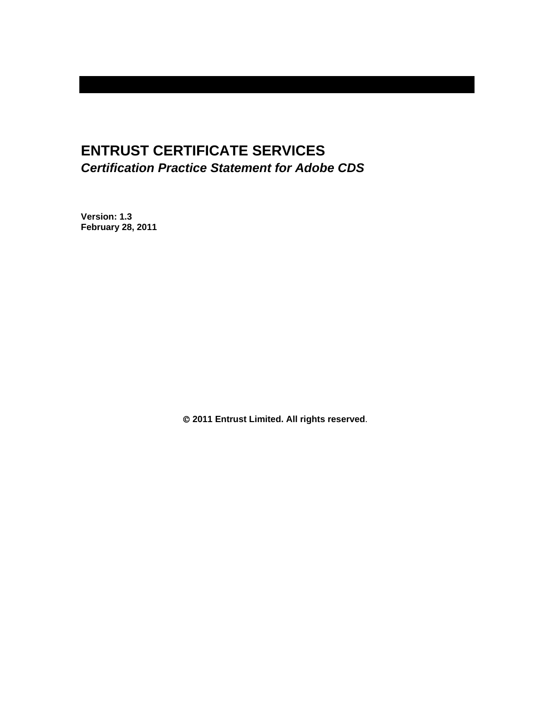# **ENTRUST CERTIFICATE SERVICES**  *Certification Practice Statement for Adobe CDS*

**Version: 1.3 February 28, 2011** 

 **2011 Entrust Limited. All rights reserved**.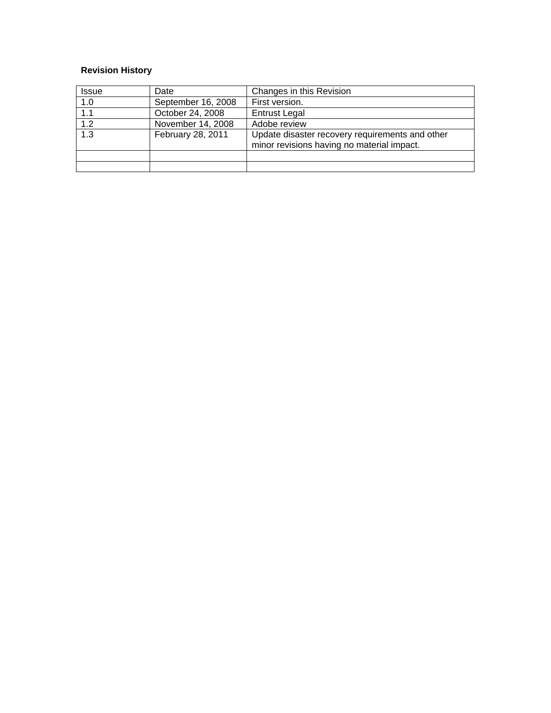# **Revision History**

| <b>Issue</b> | Date               | Changes in this Revision                        |
|--------------|--------------------|-------------------------------------------------|
| 1.0          | September 16, 2008 | First version.                                  |
| 1.1          | October 24, 2008   | <b>Entrust Legal</b>                            |
| 1.2          | November 14, 2008  | Adobe review                                    |
| 1.3          | February 28, 2011  | Update disaster recovery requirements and other |
|              |                    | minor revisions having no material impact.      |
|              |                    |                                                 |
|              |                    |                                                 |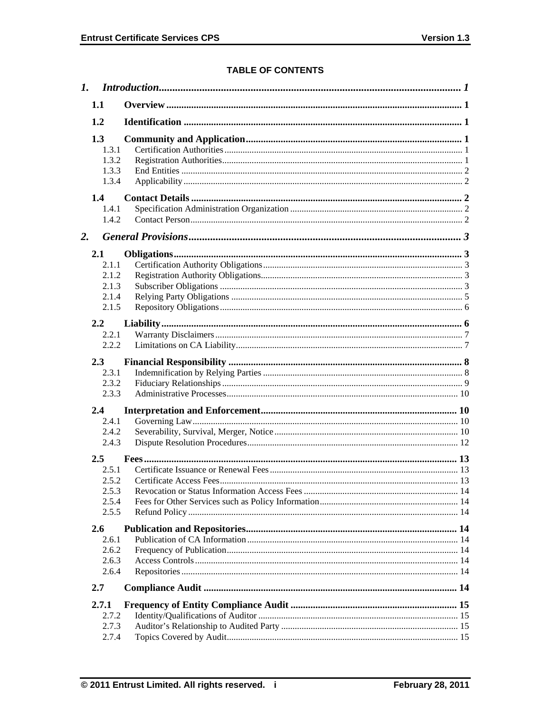# **TABLE OF CONTENTS**

| 1.1                                                  |  |
|------------------------------------------------------|--|
| 1.2                                                  |  |
| 1.3<br>1.3.1<br>1.3.2<br>1.3.3<br>1.3.4              |  |
| 1.4<br>1.4.1<br>1.4.2                                |  |
| 2.                                                   |  |
| 2.1<br>2.1.1<br>2.1.2<br>2.1.3<br>2.1.4<br>2.1.5     |  |
| 2.2<br>2.2.1<br>2.2.2                                |  |
| 2.3<br>2.3.1<br>2.3.2<br>2.3.3                       |  |
| 2.4                                                  |  |
| 2.4.1<br>2.4.2<br>2.4.3                              |  |
| $2.5\,$<br>2.5.1<br>2.5.2<br>2.5.3<br>2.5.4<br>2.5.5 |  |
| 2.6<br>2.6.1<br>2.6.2<br>2.6.3<br>2.6.4              |  |
| 2.7                                                  |  |
| 2.7.1<br>2.7.2<br>2.7.3<br>2.7.4                     |  |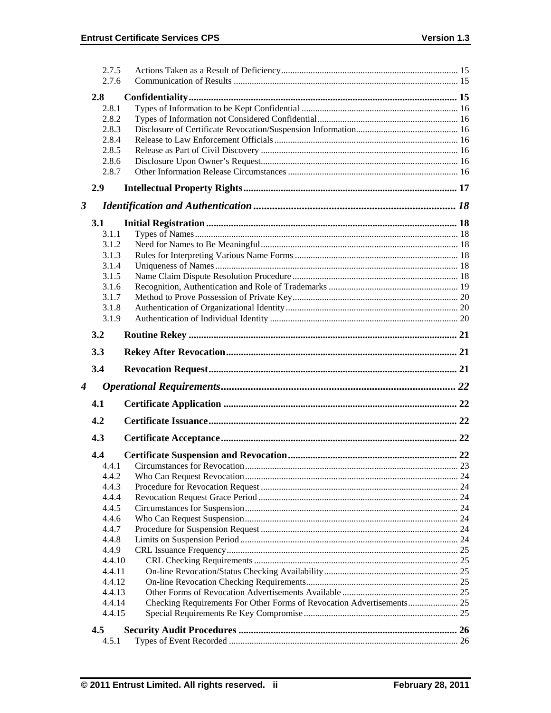|                      | 2.7.5<br>2.7.6 |  |
|----------------------|----------------|--|
|                      | 2.8            |  |
|                      | 2.8.1          |  |
|                      | 2.8.2          |  |
|                      | 2.8.3          |  |
|                      | 2.8.4          |  |
|                      | 2.8.5          |  |
|                      | 2.8.6          |  |
|                      | 2.8.7          |  |
|                      | 2.9            |  |
|                      |                |  |
| $\boldsymbol{\beta}$ |                |  |
|                      | 3.1            |  |
|                      | 3.1.1          |  |
|                      | 3.1.2          |  |
|                      | 3.1.3          |  |
|                      | 3.1.4          |  |
|                      | 3.1.5          |  |
|                      | 3.1.6          |  |
|                      | 3.1.7          |  |
|                      | 3.1.8          |  |
|                      | 3.1.9          |  |
|                      | 3.2            |  |
|                      | 3.3            |  |
|                      |                |  |
|                      | 3.4            |  |
|                      |                |  |
| $\boldsymbol{4}$     |                |  |
|                      | 4.1            |  |
|                      | 4.2            |  |
|                      | 4.3            |  |
|                      | 4.4            |  |
|                      | 4.4.1          |  |
|                      | 4.4.2          |  |
|                      | 4.4.3          |  |
|                      | 4.4.4          |  |
|                      | 4.4.5          |  |
|                      | 4.4.6          |  |
|                      | 4.4.7          |  |
|                      | 4.4.8          |  |
|                      | 4.4.9          |  |
|                      | 4.4.10         |  |
|                      | 4.4.11         |  |
|                      | 4.4.12         |  |
|                      | 4.4.13         |  |
|                      | 4.4.14         |  |
|                      | 4.4.15         |  |
|                      | 4.5<br>4.5.1   |  |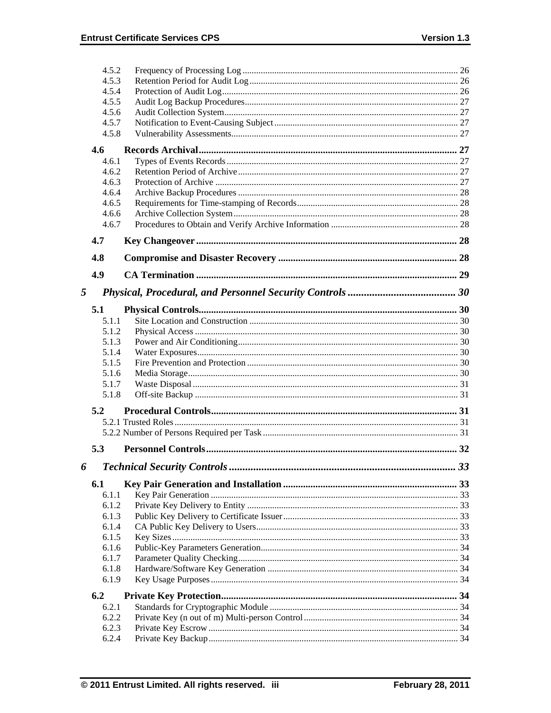|   | 4.5.2          |                                    |    |
|---|----------------|------------------------------------|----|
|   | 4.5.3          |                                    |    |
|   | 4.5.4          |                                    |    |
|   | 4.5.5          |                                    |    |
|   | 4.5.6          |                                    |    |
|   | 4.5.7          |                                    |    |
|   | 4.5.8          |                                    |    |
|   | 4.6            |                                    |    |
|   | 4.6.1          |                                    |    |
|   | 4.6.2          |                                    |    |
|   | 4.6.3          |                                    |    |
|   | 4.6.4          |                                    |    |
|   | 4.6.5          |                                    |    |
|   | 4.6.6          |                                    |    |
|   | 4.6.7          |                                    |    |
|   |                |                                    |    |
|   | 4.7            |                                    |    |
|   | 4.8            |                                    |    |
|   | 4.9            |                                    |    |
|   |                |                                    |    |
| 5 |                |                                    |    |
|   | 5.1            |                                    |    |
|   | 5.1.1          |                                    |    |
|   | 5.1.2          |                                    |    |
|   | 5.1.3          |                                    |    |
|   | 5.1.4          |                                    |    |
|   | 5.1.5          |                                    |    |
|   | 5.1.6          |                                    |    |
|   | 5.1.7          |                                    |    |
|   | 5.1.8          |                                    |    |
|   | 5.2            |                                    |    |
|   |                |                                    |    |
|   |                |                                    |    |
|   |                |                                    |    |
|   | 5.3            |                                    |    |
| 6 |                | <b>Technical Security Controls</b> | 33 |
|   | 6.1            |                                    |    |
|   | 6.1.1          |                                    |    |
|   | 6.1.2          |                                    |    |
|   | 6.1.3          |                                    |    |
|   | 6.1.4          |                                    |    |
|   | 6.1.5          |                                    |    |
|   | 6.1.6          |                                    |    |
|   | 6.1.7          |                                    |    |
|   | 6.1.8          |                                    |    |
|   | 6.1.9          |                                    |    |
|   |                |                                    |    |
|   | 6.2<br>6.2.1   |                                    |    |
|   | 6.2.2          |                                    |    |
|   |                |                                    |    |
|   |                |                                    |    |
|   | 6.2.3<br>6.2.4 |                                    |    |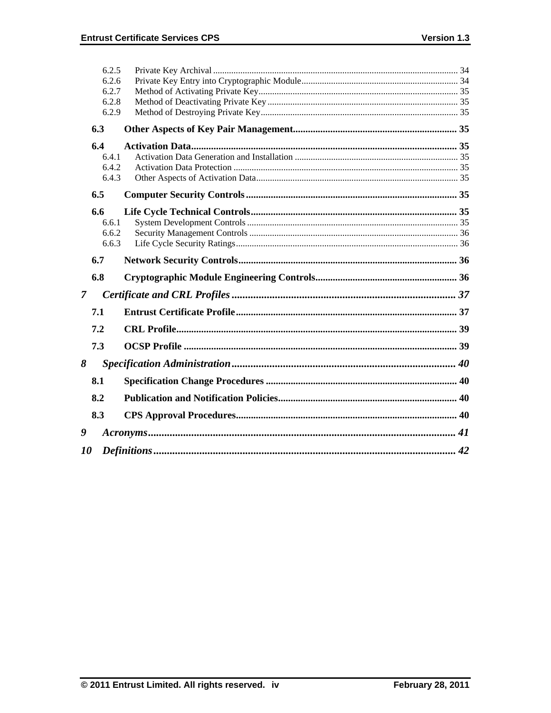|                | 6.2.5 |  |
|----------------|-------|--|
|                | 6.2.6 |  |
|                | 6.2.7 |  |
|                | 6.2.8 |  |
|                | 6.2.9 |  |
|                | 6.3   |  |
|                | 6.4   |  |
|                | 6.4.1 |  |
|                | 6.4.2 |  |
|                | 6.4.3 |  |
|                | 6.5   |  |
|                | 6.6   |  |
|                | 6.6.1 |  |
|                | 6.6.2 |  |
|                | 6.6.3 |  |
|                | 6.7   |  |
|                |       |  |
|                | 6.8   |  |
| $\overline{7}$ |       |  |
|                | 7.1   |  |
|                | 7.2   |  |
|                | 7.3   |  |
| 8              |       |  |
|                | 8.1   |  |
|                | 8.2   |  |
|                | 8.3   |  |
| 9              |       |  |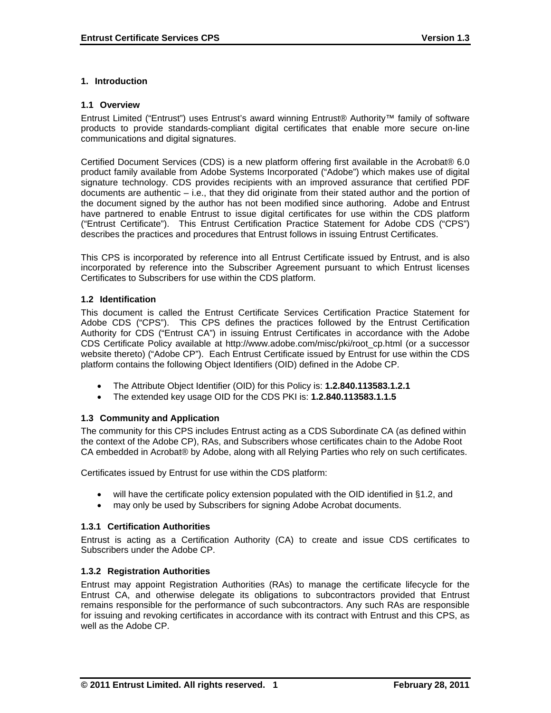### **1. Introduction**

#### **1.1 Overview**

Entrust Limited ("Entrust") uses Entrust's award winning Entrust® Authority™ family of software products to provide standards-compliant digital certificates that enable more secure on-line communications and digital signatures.

Certified Document Services (CDS) is a new platform offering first available in the Acrobat® 6.0 product family available from Adobe Systems Incorporated ("Adobe") which makes use of digital signature technology. CDS provides recipients with an improved assurance that certified PDF documents are authentic – i.e., that they did originate from their stated author and the portion of the document signed by the author has not been modified since authoring. Adobe and Entrust have partnered to enable Entrust to issue digital certificates for use within the CDS platform ("Entrust Certificate"). This Entrust Certification Practice Statement for Adobe CDS ("CPS") describes the practices and procedures that Entrust follows in issuing Entrust Certificates.

This CPS is incorporated by reference into all Entrust Certificate issued by Entrust, and is also incorporated by reference into the Subscriber Agreement pursuant to which Entrust licenses Certificates to Subscribers for use within the CDS platform.

#### **1.2 Identification**

This document is called the Entrust Certificate Services Certification Practice Statement for Adobe CDS ("CPS"). This CPS defines the practices followed by the Entrust Certification Authority for CDS ("Entrust CA") in issuing Entrust Certificates in accordance with the Adobe CDS Certificate Policy available at http://www.adobe.com/misc/pki/root\_cp.html (or a successor website thereto) ("Adobe CP"). Each Entrust Certificate issued by Entrust for use within the CDS platform contains the following Object Identifiers (OID) defined in the Adobe CP.

- The Attribute Object Identifier (OID) for this Policy is: **1.2.840.113583.1.2.1**
- The extended key usage OID for the CDS PKI is: **1.2.840.113583.1.1.5**

### **1.3 Community and Application**

The community for this CPS includes Entrust acting as a CDS Subordinate CA (as defined within the context of the Adobe CP), RAs, and Subscribers whose certificates chain to the Adobe Root CA embedded in Acrobat® by Adobe, along with all Relying Parties who rely on such certificates.

Certificates issued by Entrust for use within the CDS platform:

- will have the certificate policy extension populated with the OID identified in §1.2, and
- may only be used by Subscribers for signing Adobe Acrobat documents.

### **1.3.1 Certification Authorities**

Entrust is acting as a Certification Authority (CA) to create and issue CDS certificates to Subscribers under the Adobe CP.

#### **1.3.2 Registration Authorities**

Entrust may appoint Registration Authorities (RAs) to manage the certificate lifecycle for the Entrust CA, and otherwise delegate its obligations to subcontractors provided that Entrust remains responsible for the performance of such subcontractors. Any such RAs are responsible for issuing and revoking certificates in accordance with its contract with Entrust and this CPS, as well as the Adobe CP.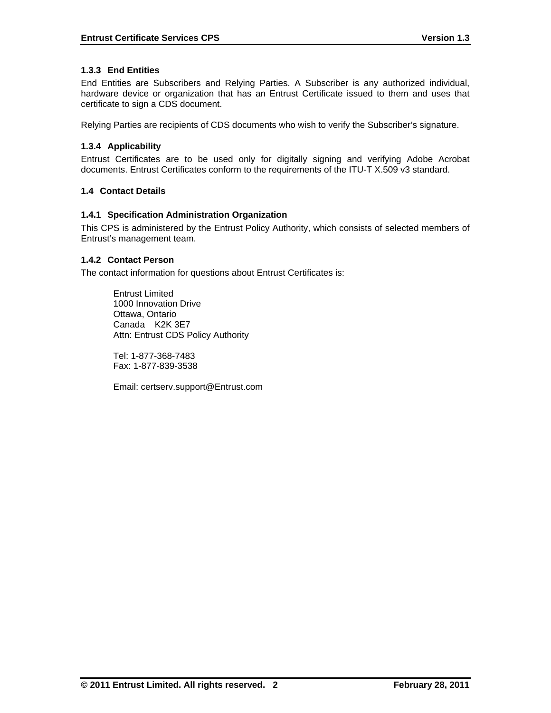# **1.3.3 End Entities**

End Entities are Subscribers and Relying Parties. A Subscriber is any authorized individual, hardware device or organization that has an Entrust Certificate issued to them and uses that certificate to sign a CDS document.

Relying Parties are recipients of CDS documents who wish to verify the Subscriber's signature.

# **1.3.4 Applicability**

Entrust Certificates are to be used only for digitally signing and verifying Adobe Acrobat documents. Entrust Certificates conform to the requirements of the ITU-T X.509 v3 standard.

# **1.4 Contact Details**

### **1.4.1 Specification Administration Organization**

This CPS is administered by the Entrust Policy Authority, which consists of selected members of Entrust's management team.

# **1.4.2 Contact Person**

The contact information for questions about Entrust Certificates is:

 Entrust Limited 1000 Innovation Drive Ottawa, Ontario Canada K2K 3E7 Attn: Entrust CDS Policy Authority

 Tel: 1-877-368-7483 Fax: 1-877-839-3538

Email: certserv.support@Entrust.com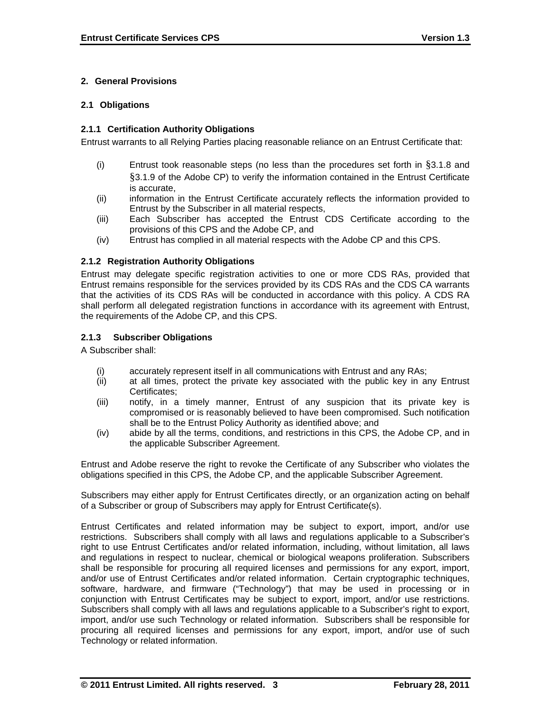# **2. General Provisions**

### **2.1 Obligations**

### **2.1.1 Certification Authority Obligations**

Entrust warrants to all Relying Parties placing reasonable reliance on an Entrust Certificate that:

- (i) Entrust took reasonable steps (no less than the procedures set forth in §3.1.8 and §3.1.9 of the Adobe CP) to verify the information contained in the Entrust Certificate is accurate,
- (ii) information in the Entrust Certificate accurately reflects the information provided to Entrust by the Subscriber in all material respects,
- (iii) Each Subscriber has accepted the Entrust CDS Certificate according to the provisions of this CPS and the Adobe CP, and
- (iv) Entrust has complied in all material respects with the Adobe CP and this CPS.

#### **2.1.2 Registration Authority Obligations**

Entrust may delegate specific registration activities to one or more CDS RAs, provided that Entrust remains responsible for the services provided by its CDS RAs and the CDS CA warrants that the activities of its CDS RAs will be conducted in accordance with this policy. A CDS RA shall perform all delegated registration functions in accordance with its agreement with Entrust, the requirements of the Adobe CP, and this CPS.

### **2.1.3 Subscriber Obligations**

A Subscriber shall:

- (i) accurately represent itself in all communications with Entrust and any RAs;
- (ii) at all times, protect the private key associated with the public key in any Entrust Certificates;
- (iii) notify, in a timely manner, Entrust of any suspicion that its private key is compromised or is reasonably believed to have been compromised. Such notification shall be to the Entrust Policy Authority as identified above; and
- (iv) abide by all the terms, conditions, and restrictions in this CPS, the Adobe CP, and in the applicable Subscriber Agreement.

Entrust and Adobe reserve the right to revoke the Certificate of any Subscriber who violates the obligations specified in this CPS, the Adobe CP, and the applicable Subscriber Agreement.

Subscribers may either apply for Entrust Certificates directly, or an organization acting on behalf of a Subscriber or group of Subscribers may apply for Entrust Certificate(s).

Entrust Certificates and related information may be subject to export, import, and/or use restrictions. Subscribers shall comply with all laws and regulations applicable to a Subscriber's right to use Entrust Certificates and/or related information, including, without limitation, all laws and regulations in respect to nuclear, chemical or biological weapons proliferation. Subscribers shall be responsible for procuring all required licenses and permissions for any export, import, and/or use of Entrust Certificates and/or related information. Certain cryptographic techniques, software, hardware, and firmware ("Technology") that may be used in processing or in conjunction with Entrust Certificates may be subject to export, import, and/or use restrictions. Subscribers shall comply with all laws and regulations applicable to a Subscriber's right to export, import, and/or use such Technology or related information. Subscribers shall be responsible for procuring all required licenses and permissions for any export, import, and/or use of such Technology or related information.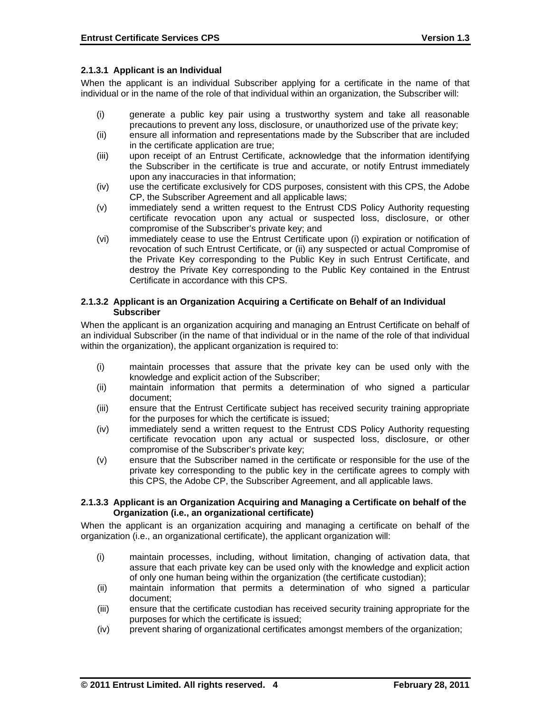### **2.1.3.1 Applicant is an Individual**

When the applicant is an individual Subscriber applying for a certificate in the name of that individual or in the name of the role of that individual within an organization, the Subscriber will:

- (i) generate a public key pair using a trustworthy system and take all reasonable precautions to prevent any loss, disclosure, or unauthorized use of the private key;
- (ii) ensure all information and representations made by the Subscriber that are included in the certificate application are true;
- (iii) upon receipt of an Entrust Certificate, acknowledge that the information identifying the Subscriber in the certificate is true and accurate, or notify Entrust immediately upon any inaccuracies in that information;
- (iv) use the certificate exclusively for CDS purposes, consistent with this CPS, the Adobe CP, the Subscriber Agreement and all applicable laws;
- (v) immediately send a written request to the Entrust CDS Policy Authority requesting certificate revocation upon any actual or suspected loss, disclosure, or other compromise of the Subscriber's private key; and
- (vi) immediately cease to use the Entrust Certificate upon (i) expiration or notification of revocation of such Entrust Certificate, or (ii) any suspected or actual Compromise of the Private Key corresponding to the Public Key in such Entrust Certificate, and destroy the Private Key corresponding to the Public Key contained in the Entrust Certificate in accordance with this CPS.

#### **2.1.3.2 Applicant is an Organization Acquiring a Certificate on Behalf of an Individual Subscriber**

When the applicant is an organization acquiring and managing an Entrust Certificate on behalf of an individual Subscriber (in the name of that individual or in the name of the role of that individual within the organization), the applicant organization is required to:

- (i) maintain processes that assure that the private key can be used only with the knowledge and explicit action of the Subscriber;
- (ii) maintain information that permits a determination of who signed a particular document;
- (iii) ensure that the Entrust Certificate subject has received security training appropriate for the purposes for which the certificate is issued;
- (iv) immediately send a written request to the Entrust CDS Policy Authority requesting certificate revocation upon any actual or suspected loss, disclosure, or other compromise of the Subscriber's private key;
- (v) ensure that the Subscriber named in the certificate or responsible for the use of the private key corresponding to the public key in the certificate agrees to comply with this CPS, the Adobe CP, the Subscriber Agreement, and all applicable laws.

#### **2.1.3.3 Applicant is an Organization Acquiring and Managing a Certificate on behalf of the Organization (i.e., an organizational certificate)**

When the applicant is an organization acquiring and managing a certificate on behalf of the organization (i.e., an organizational certificate), the applicant organization will:

- (i) maintain processes, including, without limitation, changing of activation data, that assure that each private key can be used only with the knowledge and explicit action of only one human being within the organization (the certificate custodian);
- (ii) maintain information that permits a determination of who signed a particular document;
- (iii) ensure that the certificate custodian has received security training appropriate for the purposes for which the certificate is issued;
- (iv) prevent sharing of organizational certificates amongst members of the organization;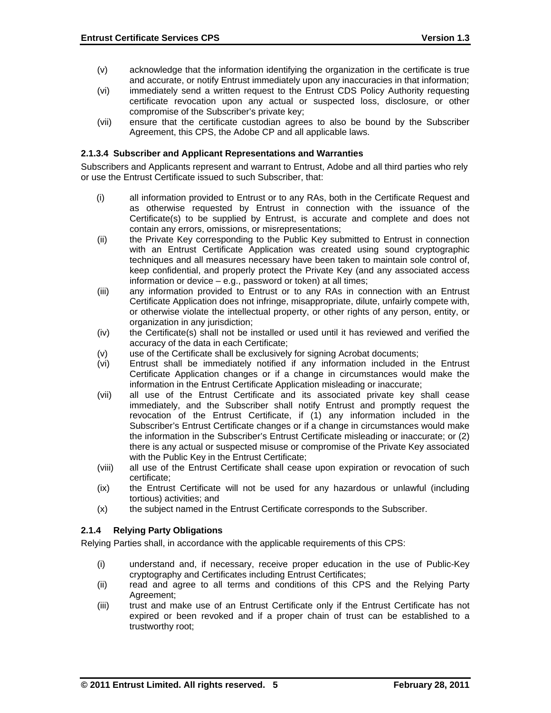- (v) acknowledge that the information identifying the organization in the certificate is true and accurate, or notify Entrust immediately upon any inaccuracies in that information;
- (vi) immediately send a written request to the Entrust CDS Policy Authority requesting certificate revocation upon any actual or suspected loss, disclosure, or other compromise of the Subscriber's private key;
- (vii) ensure that the certificate custodian agrees to also be bound by the Subscriber Agreement, this CPS, the Adobe CP and all applicable laws.

### **2.1.3.4 Subscriber and Applicant Representations and Warranties**

Subscribers and Applicants represent and warrant to Entrust, Adobe and all third parties who rely or use the Entrust Certificate issued to such Subscriber, that:

- (i) all information provided to Entrust or to any RAs, both in the Certificate Request and as otherwise requested by Entrust in connection with the issuance of the Certificate(s) to be supplied by Entrust, is accurate and complete and does not contain any errors, omissions, or misrepresentations;
- (ii) the Private Key corresponding to the Public Key submitted to Entrust in connection with an Entrust Certificate Application was created using sound cryptographic techniques and all measures necessary have been taken to maintain sole control of, keep confidential, and properly protect the Private Key (and any associated access information or device – e.g., password or token) at all times;
- (iii) any information provided to Entrust or to any RAs in connection with an Entrust Certificate Application does not infringe, misappropriate, dilute, unfairly compete with, or otherwise violate the intellectual property, or other rights of any person, entity, or organization in any jurisdiction;
- (iv) the Certificate(s) shall not be installed or used until it has reviewed and verified the accuracy of the data in each Certificate;
- (v) use of the Certificate shall be exclusively for signing Acrobat documents;
- (vi) Entrust shall be immediately notified if any information included in the Entrust Certificate Application changes or if a change in circumstances would make the information in the Entrust Certificate Application misleading or inaccurate;
- (vii) all use of the Entrust Certificate and its associated private key shall cease immediately, and the Subscriber shall notify Entrust and promptly request the revocation of the Entrust Certificate, if (1) any information included in the Subscriber's Entrust Certificate changes or if a change in circumstances would make the information in the Subscriber's Entrust Certificate misleading or inaccurate; or (2) there is any actual or suspected misuse or compromise of the Private Key associated with the Public Key in the Entrust Certificate;
- (viii) all use of the Entrust Certificate shall cease upon expiration or revocation of such certificate;
- (ix) the Entrust Certificate will not be used for any hazardous or unlawful (including tortious) activities; and
- (x) the subject named in the Entrust Certificate corresponds to the Subscriber.

# **2.1.4 Relying Party Obligations**

Relying Parties shall, in accordance with the applicable requirements of this CPS:

- (i) understand and, if necessary, receive proper education in the use of Public-Key cryptography and Certificates including Entrust Certificates;
- (ii) read and agree to all terms and conditions of this CPS and the Relying Party Agreement;
- (iii) trust and make use of an Entrust Certificate only if the Entrust Certificate has not expired or been revoked and if a proper chain of trust can be established to a trustworthy root;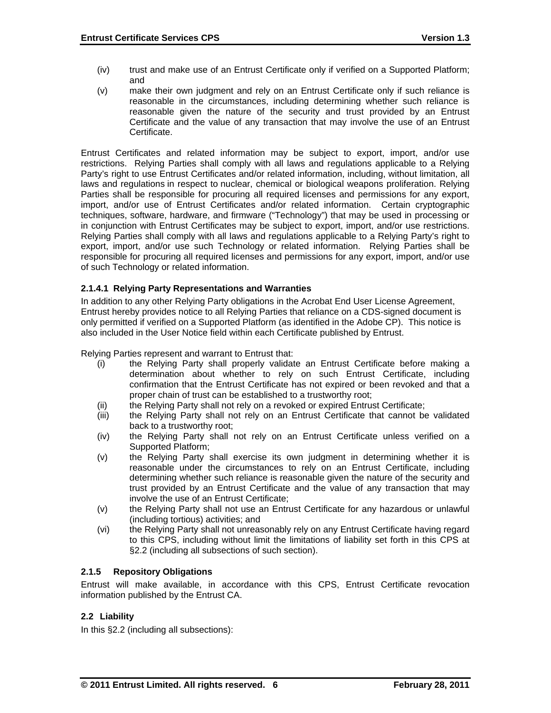- (iv) trust and make use of an Entrust Certificate only if verified on a Supported Platform; and
- (v) make their own judgment and rely on an Entrust Certificate only if such reliance is reasonable in the circumstances, including determining whether such reliance is reasonable given the nature of the security and trust provided by an Entrust Certificate and the value of any transaction that may involve the use of an Entrust Certificate.

Entrust Certificates and related information may be subject to export, import, and/or use restrictions. Relying Parties shall comply with all laws and regulations applicable to a Relying Party's right to use Entrust Certificates and/or related information, including, without limitation, all laws and regulations in respect to nuclear, chemical or biological weapons proliferation. Relying Parties shall be responsible for procuring all required licenses and permissions for any export, import, and/or use of Entrust Certificates and/or related information. Certain cryptographic techniques, software, hardware, and firmware ("Technology") that may be used in processing or in conjunction with Entrust Certificates may be subject to export, import, and/or use restrictions. Relying Parties shall comply with all laws and regulations applicable to a Relying Party's right to export, import, and/or use such Technology or related information. Relying Parties shall be responsible for procuring all required licenses and permissions for any export, import, and/or use of such Technology or related information.

# **2.1.4.1 Relying Party Representations and Warranties**

In addition to any other Relying Party obligations in the Acrobat End User License Agreement, Entrust hereby provides notice to all Relying Parties that reliance on a CDS-signed document is only permitted if verified on a Supported Platform (as identified in the Adobe CP). This notice is also included in the User Notice field within each Certificate published by Entrust.

Relying Parties represent and warrant to Entrust that:

- (i) the Relying Party shall properly validate an Entrust Certificate before making a determination about whether to rely on such Entrust Certificate, including confirmation that the Entrust Certificate has not expired or been revoked and that a proper chain of trust can be established to a trustworthy root;
- (ii) the Relying Party shall not rely on a revoked or expired Entrust Certificate;
- (iii) the Relying Party shall not rely on an Entrust Certificate that cannot be validated back to a trustworthy root;
- (iv) the Relying Party shall not rely on an Entrust Certificate unless verified on a Supported Platform;
- (v) the Relying Party shall exercise its own judgment in determining whether it is reasonable under the circumstances to rely on an Entrust Certificate, including determining whether such reliance is reasonable given the nature of the security and trust provided by an Entrust Certificate and the value of any transaction that may involve the use of an Entrust Certificate;
- (v) the Relying Party shall not use an Entrust Certificate for any hazardous or unlawful (including tortious) activities; and
- (vi) the Relying Party shall not unreasonably rely on any Entrust Certificate having regard to this CPS, including without limit the limitations of liability set forth in this CPS at §2.2 (including all subsections of such section).

### **2.1.5 Repository Obligations**

Entrust will make available, in accordance with this CPS, Entrust Certificate revocation information published by the Entrust CA.

### **2.2 Liability**

In this §2.2 (including all subsections):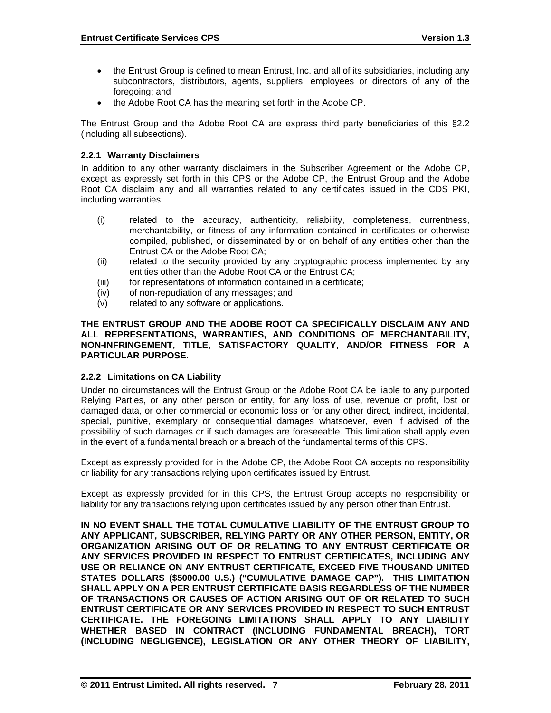- the Entrust Group is defined to mean Entrust, Inc. and all of its subsidiaries, including any subcontractors, distributors, agents, suppliers, employees or directors of any of the foregoing; and
- the Adobe Root CA has the meaning set forth in the Adobe CP.

The Entrust Group and the Adobe Root CA are express third party beneficiaries of this §2.2 (including all subsections).

# **2.2.1 Warranty Disclaimers**

In addition to any other warranty disclaimers in the Subscriber Agreement or the Adobe CP, except as expressly set forth in this CPS or the Adobe CP, the Entrust Group and the Adobe Root CA disclaim any and all warranties related to any certificates issued in the CDS PKI, including warranties:

- (i) related to the accuracy, authenticity, reliability, completeness, currentness, merchantability, or fitness of any information contained in certificates or otherwise compiled, published, or disseminated by or on behalf of any entities other than the Entrust CA or the Adobe Root CA;
- (ii) related to the security provided by any cryptographic process implemented by any entities other than the Adobe Root CA or the Entrust CA;
- (iii) for representations of information contained in a certificate;
- (iv) of non-repudiation of any messages; and
- (v) related to any software or applications.

#### **THE ENTRUST GROUP AND THE ADOBE ROOT CA SPECIFICALLY DISCLAIM ANY AND ALL REPRESENTATIONS, WARRANTIES, AND CONDITIONS OF MERCHANTABILITY, NON-INFRINGEMENT, TITLE, SATISFACTORY QUALITY, AND/OR FITNESS FOR A PARTICULAR PURPOSE.**

### **2.2.2 Limitations on CA Liability**

Under no circumstances will the Entrust Group or the Adobe Root CA be liable to any purported Relying Parties, or any other person or entity, for any loss of use, revenue or profit, lost or damaged data, or other commercial or economic loss or for any other direct, indirect, incidental, special, punitive, exemplary or consequential damages whatsoever, even if advised of the possibility of such damages or if such damages are foreseeable. This limitation shall apply even in the event of a fundamental breach or a breach of the fundamental terms of this CPS.

Except as expressly provided for in the Adobe CP, the Adobe Root CA accepts no responsibility or liability for any transactions relying upon certificates issued by Entrust.

Except as expressly provided for in this CPS, the Entrust Group accepts no responsibility or liability for any transactions relying upon certificates issued by any person other than Entrust.

**IN NO EVENT SHALL THE TOTAL CUMULATIVE LIABILITY OF THE ENTRUST GROUP TO ANY APPLICANT, SUBSCRIBER, RELYING PARTY OR ANY OTHER PERSON, ENTITY, OR ORGANIZATION ARISING OUT OF OR RELATING TO ANY ENTRUST CERTIFICATE OR ANY SERVICES PROVIDED IN RESPECT TO ENTRUST CERTIFICATES, INCLUDING ANY USE OR RELIANCE ON ANY ENTRUST CERTIFICATE, EXCEED FIVE THOUSAND UNITED STATES DOLLARS (\$5000.00 U.S.) ("CUMULATIVE DAMAGE CAP"). THIS LIMITATION SHALL APPLY ON A PER ENTRUST CERTIFICATE BASIS REGARDLESS OF THE NUMBER OF TRANSACTIONS OR CAUSES OF ACTION ARISING OUT OF OR RELATED TO SUCH ENTRUST CERTIFICATE OR ANY SERVICES PROVIDED IN RESPECT TO SUCH ENTRUST CERTIFICATE. THE FOREGOING LIMITATIONS SHALL APPLY TO ANY LIABILITY WHETHER BASED IN CONTRACT (INCLUDING FUNDAMENTAL BREACH), TORT (INCLUDING NEGLIGENCE), LEGISLATION OR ANY OTHER THEORY OF LIABILITY,**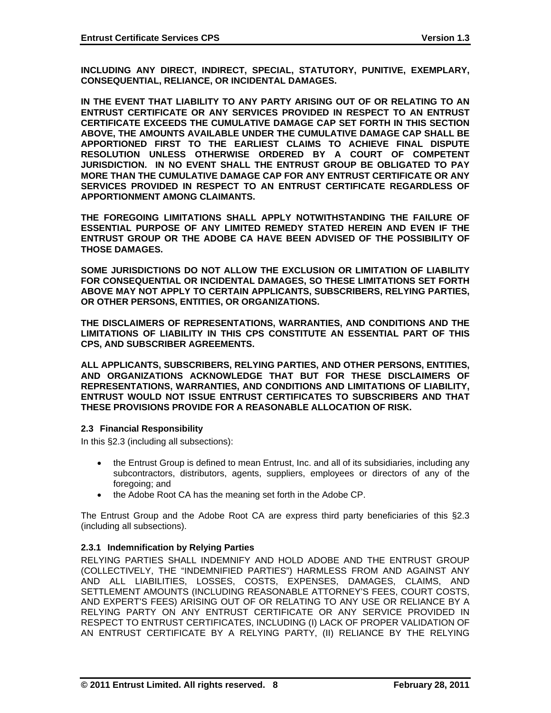**INCLUDING ANY DIRECT, INDIRECT, SPECIAL, STATUTORY, PUNITIVE, EXEMPLARY, CONSEQUENTIAL, RELIANCE, OR INCIDENTAL DAMAGES.** 

**IN THE EVENT THAT LIABILITY TO ANY PARTY ARISING OUT OF OR RELATING TO AN ENTRUST CERTIFICATE OR ANY SERVICES PROVIDED IN RESPECT TO AN ENTRUST CERTIFICATE EXCEEDS THE CUMULATIVE DAMAGE CAP SET FORTH IN THIS SECTION ABOVE, THE AMOUNTS AVAILABLE UNDER THE CUMULATIVE DAMAGE CAP SHALL BE APPORTIONED FIRST TO THE EARLIEST CLAIMS TO ACHIEVE FINAL DISPUTE RESOLUTION UNLESS OTHERWISE ORDERED BY A COURT OF COMPETENT JURISDICTION. IN NO EVENT SHALL THE ENTRUST GROUP BE OBLIGATED TO PAY MORE THAN THE CUMULATIVE DAMAGE CAP FOR ANY ENTRUST CERTIFICATE OR ANY SERVICES PROVIDED IN RESPECT TO AN ENTRUST CERTIFICATE REGARDLESS OF APPORTIONMENT AMONG CLAIMANTS.** 

**THE FOREGOING LIMITATIONS SHALL APPLY NOTWITHSTANDING THE FAILURE OF ESSENTIAL PURPOSE OF ANY LIMITED REMEDY STATED HEREIN AND EVEN IF THE ENTRUST GROUP OR THE ADOBE CA HAVE BEEN ADVISED OF THE POSSIBILITY OF THOSE DAMAGES.** 

**SOME JURISDICTIONS DO NOT ALLOW THE EXCLUSION OR LIMITATION OF LIABILITY FOR CONSEQUENTIAL OR INCIDENTAL DAMAGES, SO THESE LIMITATIONS SET FORTH ABOVE MAY NOT APPLY TO CERTAIN APPLICANTS, SUBSCRIBERS, RELYING PARTIES, OR OTHER PERSONS, ENTITIES, OR ORGANIZATIONS.** 

**THE DISCLAIMERS OF REPRESENTATIONS, WARRANTIES, AND CONDITIONS AND THE LIMITATIONS OF LIABILITY IN THIS CPS CONSTITUTE AN ESSENTIAL PART OF THIS CPS, AND SUBSCRIBER AGREEMENTS.** 

**ALL APPLICANTS, SUBSCRIBERS, RELYING PARTIES, AND OTHER PERSONS, ENTITIES, AND ORGANIZATIONS ACKNOWLEDGE THAT BUT FOR THESE DISCLAIMERS OF REPRESENTATIONS, WARRANTIES, AND CONDITIONS AND LIMITATIONS OF LIABILITY, ENTRUST WOULD NOT ISSUE ENTRUST CERTIFICATES TO SUBSCRIBERS AND THAT THESE PROVISIONS PROVIDE FOR A REASONABLE ALLOCATION OF RISK.** 

#### **2.3 Financial Responsibility**

In this §2.3 (including all subsections):

- the Entrust Group is defined to mean Entrust, Inc. and all of its subsidiaries, including any subcontractors, distributors, agents, suppliers, employees or directors of any of the foregoing; and
- the Adobe Root CA has the meaning set forth in the Adobe CP.

The Entrust Group and the Adobe Root CA are express third party beneficiaries of this §2.3 (including all subsections).

### **2.3.1 Indemnification by Relying Parties**

RELYING PARTIES SHALL INDEMNIFY AND HOLD ADOBE AND THE ENTRUST GROUP (COLLECTIVELY, THE "INDEMNIFIED PARTIES") HARMLESS FROM AND AGAINST ANY AND ALL LIABILITIES, LOSSES, COSTS, EXPENSES, DAMAGES, CLAIMS, AND SETTLEMENT AMOUNTS (INCLUDING REASONABLE ATTORNEY'S FEES, COURT COSTS, AND EXPERT'S FEES) ARISING OUT OF OR RELATING TO ANY USE OR RELIANCE BY A RELYING PARTY ON ANY ENTRUST CERTIFICATE OR ANY SERVICE PROVIDED IN RESPECT TO ENTRUST CERTIFICATES, INCLUDING (I) LACK OF PROPER VALIDATION OF AN ENTRUST CERTIFICATE BY A RELYING PARTY, (II) RELIANCE BY THE RELYING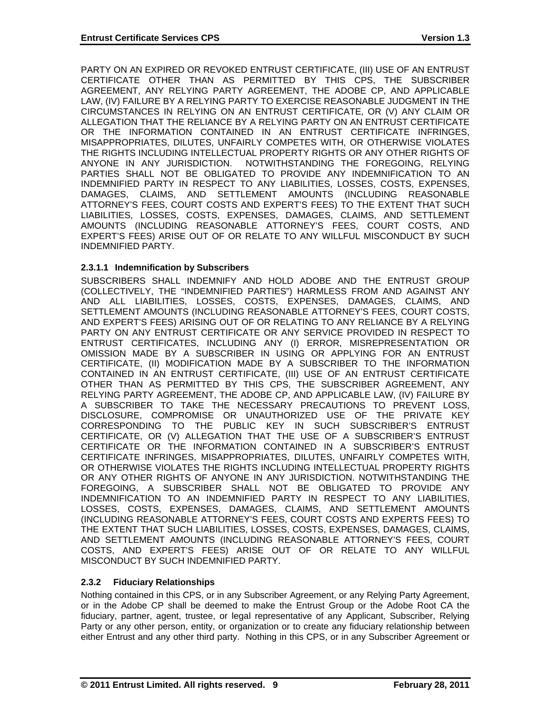PARTY ON AN EXPIRED OR REVOKED ENTRUST CERTIFICATE, (III) USE OF AN ENTRUST CERTIFICATE OTHER THAN AS PERMITTED BY THIS CPS, THE SUBSCRIBER AGREEMENT, ANY RELYING PARTY AGREEMENT, THE ADOBE CP, AND APPLICABLE LAW, (IV) FAILURE BY A RELYING PARTY TO EXERCISE REASONABLE JUDGMENT IN THE CIRCUMSTANCES IN RELYING ON AN ENTRUST CERTIFICATE, OR (V) ANY CLAIM OR ALLEGATION THAT THE RELIANCE BY A RELYING PARTY ON AN ENTRUST CERTIFICATE OR THE INFORMATION CONTAINED IN AN ENTRUST CERTIFICATE INFRINGES, MISAPPROPRIATES, DILUTES, UNFAIRLY COMPETES WITH, OR OTHERWISE VIOLATES THE RIGHTS INCLUDING INTELLECTUAL PROPERTY RIGHTS OR ANY OTHER RIGHTS OF ANYONE IN ANY JURISDICTION. NOTWITHSTANDING THE FOREGOING, RELYING PARTIES SHALL NOT BE OBLIGATED TO PROVIDE ANY INDEMNIFICATION TO AN INDEMNIFIED PARTY IN RESPECT TO ANY LIABILITIES, LOSSES, COSTS, EXPENSES, DAMAGES, CLAIMS, AND SETTLEMENT AMOUNTS (INCLUDING REASONABLE ATTORNEY'S FEES, COURT COSTS AND EXPERT'S FEES) TO THE EXTENT THAT SUCH LIABILITIES, LOSSES, COSTS, EXPENSES, DAMAGES, CLAIMS, AND SETTLEMENT AMOUNTS (INCLUDING REASONABLE ATTORNEY'S FEES, COURT COSTS, AND EXPERT'S FEES) ARISE OUT OF OR RELATE TO ANY WILLFUL MISCONDUCT BY SUCH INDEMNIFIED PARTY.

### **2.3.1.1 Indemnification by Subscribers**

SUBSCRIBERS SHALL INDEMNIFY AND HOLD ADOBE AND THE ENTRUST GROUP (COLLECTIVELY, THE "INDEMNIFIED PARTIES") HARMLESS FROM AND AGAINST ANY AND ALL LIABILITIES, LOSSES, COSTS, EXPENSES, DAMAGES, CLAIMS, AND SETTLEMENT AMOUNTS (INCLUDING REASONABLE ATTORNEY'S FEES, COURT COSTS, AND EXPERT'S FEES) ARISING OUT OF OR RELATING TO ANY RELIANCE BY A RELYING PARTY ON ANY ENTRUST CERTIFICATE OR ANY SERVICE PROVIDED IN RESPECT TO ENTRUST CERTIFICATES, INCLUDING ANY (I) ERROR, MISREPRESENTATION OR OMISSION MADE BY A SUBSCRIBER IN USING OR APPLYING FOR AN ENTRUST CERTIFICATE, (II) MODIFICATION MADE BY A SUBSCRIBER TO THE INFORMATION CONTAINED IN AN ENTRUST CERTIFICATE, (III) USE OF AN ENTRUST CERTIFICATE OTHER THAN AS PERMITTED BY THIS CPS, THE SUBSCRIBER AGREEMENT, ANY RELYING PARTY AGREEMENT, THE ADOBE CP, AND APPLICABLE LAW, (IV) FAILURE BY A SUBSCRIBER TO TAKE THE NECESSARY PRECAUTIONS TO PREVENT LOSS, DISCLOSURE, COMPROMISE OR UNAUTHORIZED USE OF THE PRIVATE KEY CORRESPONDING TO THE PUBLIC KEY IN SUCH SUBSCRIBER'S ENTRUST CERTIFICATE, OR (V) ALLEGATION THAT THE USE OF A SUBSCRIBER'S ENTRUST CERTIFICATE OR THE INFORMATION CONTAINED IN A SUBSCRIBER'S ENTRUST CERTIFICATE INFRINGES, MISAPPROPRIATES, DILUTES, UNFAIRLY COMPETES WITH, OR OTHERWISE VIOLATES THE RIGHTS INCLUDING INTELLECTUAL PROPERTY RIGHTS OR ANY OTHER RIGHTS OF ANYONE IN ANY JURISDICTION. NOTWITHSTANDING THE FOREGOING, A SUBSCRIBER SHALL NOT BE OBLIGATED TO PROVIDE ANY INDEMNIFICATION TO AN INDEMNIFIED PARTY IN RESPECT TO ANY LIABILITIES, LOSSES, COSTS, EXPENSES, DAMAGES, CLAIMS, AND SETTLEMENT AMOUNTS (INCLUDING REASONABLE ATTORNEY'S FEES, COURT COSTS AND EXPERTS FEES) TO THE EXTENT THAT SUCH LIABILITIES, LOSSES, COSTS, EXPENSES, DAMAGES, CLAIMS, AND SETTLEMENT AMOUNTS (INCLUDING REASONABLE ATTORNEY'S FEES, COURT COSTS, AND EXPERT'S FEES) ARISE OUT OF OR RELATE TO ANY WILLFUL MISCONDUCT BY SUCH INDEMNIFIED PARTY.

# **2.3.2 Fiduciary Relationships**

Nothing contained in this CPS, or in any Subscriber Agreement, or any Relying Party Agreement, or in the Adobe CP shall be deemed to make the Entrust Group or the Adobe Root CA the fiduciary, partner, agent, trustee, or legal representative of any Applicant, Subscriber, Relying Party or any other person, entity, or organization or to create any fiduciary relationship between either Entrust and any other third party. Nothing in this CPS, or in any Subscriber Agreement or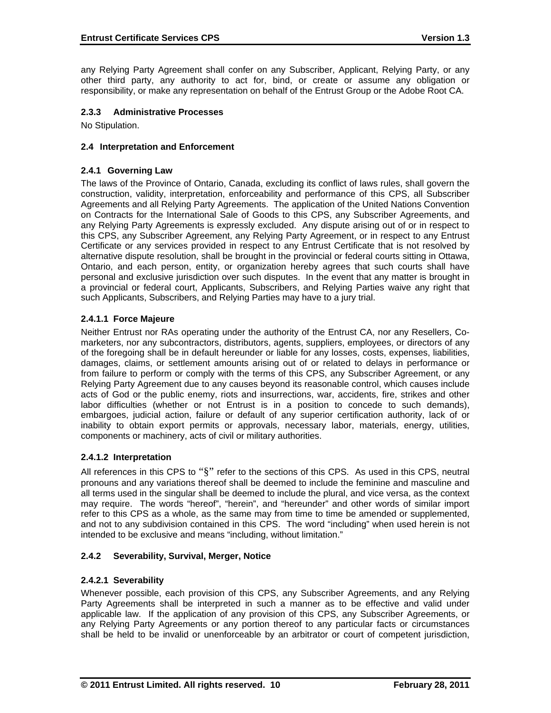any Relying Party Agreement shall confer on any Subscriber, Applicant, Relying Party, or any other third party, any authority to act for, bind, or create or assume any obligation or responsibility, or make any representation on behalf of the Entrust Group or the Adobe Root CA.

### **2.3.3 Administrative Processes**

No Stipulation.

#### **2.4 Interpretation and Enforcement**

#### **2.4.1 Governing Law**

The laws of the Province of Ontario, Canada, excluding its conflict of laws rules, shall govern the construction, validity, interpretation, enforceability and performance of this CPS, all Subscriber Agreements and all Relying Party Agreements. The application of the United Nations Convention on Contracts for the International Sale of Goods to this CPS, any Subscriber Agreements, and any Relying Party Agreements is expressly excluded. Any dispute arising out of or in respect to this CPS, any Subscriber Agreement, any Relying Party Agreement, or in respect to any Entrust Certificate or any services provided in respect to any Entrust Certificate that is not resolved by alternative dispute resolution, shall be brought in the provincial or federal courts sitting in Ottawa, Ontario, and each person, entity, or organization hereby agrees that such courts shall have personal and exclusive jurisdiction over such disputes. In the event that any matter is brought in a provincial or federal court, Applicants, Subscribers, and Relying Parties waive any right that such Applicants, Subscribers, and Relying Parties may have to a jury trial.

### **2.4.1.1 Force Majeure**

Neither Entrust nor RAs operating under the authority of the Entrust CA, nor any Resellers, Comarketers, nor any subcontractors, distributors, agents, suppliers, employees, or directors of any of the foregoing shall be in default hereunder or liable for any losses, costs, expenses, liabilities, damages, claims, or settlement amounts arising out of or related to delays in performance or from failure to perform or comply with the terms of this CPS, any Subscriber Agreement, or any Relying Party Agreement due to any causes beyond its reasonable control, which causes include acts of God or the public enemy, riots and insurrections, war, accidents, fire, strikes and other labor difficulties (whether or not Entrust is in a position to concede to such demands), embargoes, judicial action, failure or default of any superior certification authority, lack of or inability to obtain export permits or approvals, necessary labor, materials, energy, utilities, components or machinery, acts of civil or military authorities.

### **2.4.1.2 Interpretation**

All references in this CPS to "§" refer to the sections of this CPS. As used in this CPS, neutral pronouns and any variations thereof shall be deemed to include the feminine and masculine and all terms used in the singular shall be deemed to include the plural, and vice versa, as the context may require. The words "hereof", "herein", and "hereunder" and other words of similar import refer to this CPS as a whole, as the same may from time to time be amended or supplemented, and not to any subdivision contained in this CPS. The word "including" when used herein is not intended to be exclusive and means "including, without limitation."

### **2.4.2 Severability, Survival, Merger, Notice**

### **2.4.2.1 Severability**

Whenever possible, each provision of this CPS, any Subscriber Agreements, and any Relying Party Agreements shall be interpreted in such a manner as to be effective and valid under applicable law. If the application of any provision of this CPS, any Subscriber Agreements, or any Relying Party Agreements or any portion thereof to any particular facts or circumstances shall be held to be invalid or unenforceable by an arbitrator or court of competent jurisdiction,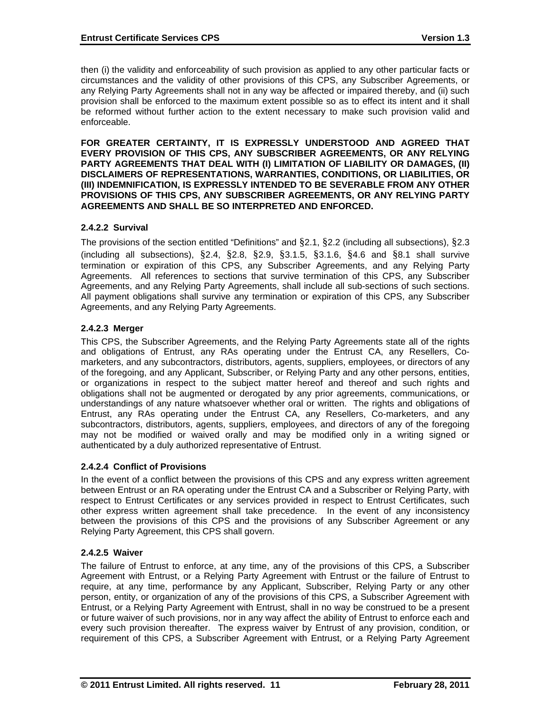then (i) the validity and enforceability of such provision as applied to any other particular facts or circumstances and the validity of other provisions of this CPS, any Subscriber Agreements, or any Relying Party Agreements shall not in any way be affected or impaired thereby, and (ii) such provision shall be enforced to the maximum extent possible so as to effect its intent and it shall be reformed without further action to the extent necessary to make such provision valid and enforceable.

**FOR GREATER CERTAINTY, IT IS EXPRESSLY UNDERSTOOD AND AGREED THAT EVERY PROVISION OF THIS CPS, ANY SUBSCRIBER AGREEMENTS, OR ANY RELYING PARTY AGREEMENTS THAT DEAL WITH (I) LIMITATION OF LIABILITY OR DAMAGES, (II) DISCLAIMERS OF REPRESENTATIONS, WARRANTIES, CONDITIONS, OR LIABILITIES, OR (III) INDEMNIFICATION, IS EXPRESSLY INTENDED TO BE SEVERABLE FROM ANY OTHER PROVISIONS OF THIS CPS, ANY SUBSCRIBER AGREEMENTS, OR ANY RELYING PARTY AGREEMENTS AND SHALL BE SO INTERPRETED AND ENFORCED.** 

### **2.4.2.2 Survival**

The provisions of the section entitled "Definitions" and §2.1, §2.2 (including all subsections), §2.3 (including all subsections), §2.4, §2.8, §2.9, §3.1.5, §3.1.6, §4.6 and §8.1 shall survive termination or expiration of this CPS, any Subscriber Agreements, and any Relying Party Agreements. All references to sections that survive termination of this CPS, any Subscriber Agreements, and any Relying Party Agreements, shall include all sub-sections of such sections. All payment obligations shall survive any termination or expiration of this CPS, any Subscriber Agreements, and any Relying Party Agreements.

#### **2.4.2.3 Merger**

This CPS, the Subscriber Agreements, and the Relying Party Agreements state all of the rights and obligations of Entrust, any RAs operating under the Entrust CA, any Resellers, Comarketers, and any subcontractors, distributors, agents, suppliers, employees, or directors of any of the foregoing, and any Applicant, Subscriber, or Relying Party and any other persons, entities, or organizations in respect to the subject matter hereof and thereof and such rights and obligations shall not be augmented or derogated by any prior agreements, communications, or understandings of any nature whatsoever whether oral or written. The rights and obligations of Entrust, any RAs operating under the Entrust CA, any Resellers, Co-marketers, and any subcontractors, distributors, agents, suppliers, employees, and directors of any of the foregoing may not be modified or waived orally and may be modified only in a writing signed or authenticated by a duly authorized representative of Entrust.

### **2.4.2.4 Conflict of Provisions**

In the event of a conflict between the provisions of this CPS and any express written agreement between Entrust or an RA operating under the Entrust CA and a Subscriber or Relying Party, with respect to Entrust Certificates or any services provided in respect to Entrust Certificates, such other express written agreement shall take precedence. In the event of any inconsistency between the provisions of this CPS and the provisions of any Subscriber Agreement or any Relying Party Agreement, this CPS shall govern.

#### **2.4.2.5 Waiver**

The failure of Entrust to enforce, at any time, any of the provisions of this CPS, a Subscriber Agreement with Entrust, or a Relying Party Agreement with Entrust or the failure of Entrust to require, at any time, performance by any Applicant, Subscriber, Relying Party or any other person, entity, or organization of any of the provisions of this CPS, a Subscriber Agreement with Entrust, or a Relying Party Agreement with Entrust, shall in no way be construed to be a present or future waiver of such provisions, nor in any way affect the ability of Entrust to enforce each and every such provision thereafter. The express waiver by Entrust of any provision, condition, or requirement of this CPS, a Subscriber Agreement with Entrust, or a Relying Party Agreement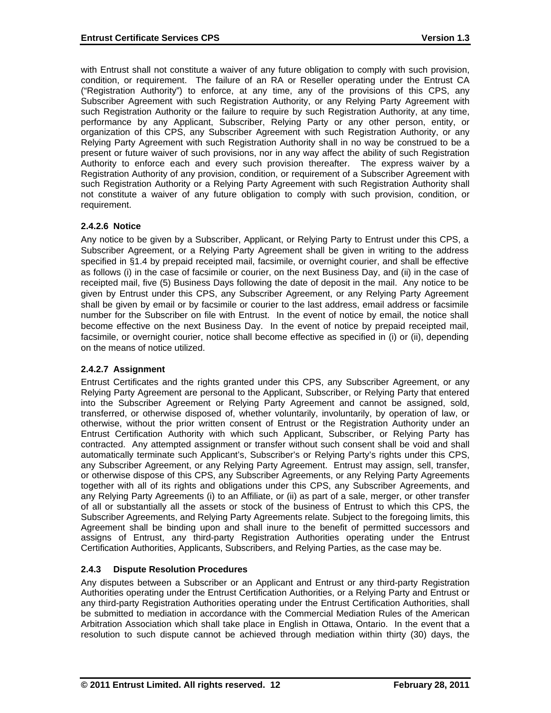with Entrust shall not constitute a waiver of any future obligation to comply with such provision, condition, or requirement. The failure of an RA or Reseller operating under the Entrust CA ("Registration Authority") to enforce, at any time, any of the provisions of this CPS, any Subscriber Agreement with such Registration Authority, or any Relying Party Agreement with such Registration Authority or the failure to require by such Registration Authority, at any time, performance by any Applicant, Subscriber, Relying Party or any other person, entity, or organization of this CPS, any Subscriber Agreement with such Registration Authority, or any Relying Party Agreement with such Registration Authority shall in no way be construed to be a present or future waiver of such provisions, nor in any way affect the ability of such Registration Authority to enforce each and every such provision thereafter. The express waiver by a Registration Authority of any provision, condition, or requirement of a Subscriber Agreement with such Registration Authority or a Relying Party Agreement with such Registration Authority shall not constitute a waiver of any future obligation to comply with such provision, condition, or requirement.

#### **2.4.2.6 Notice**

Any notice to be given by a Subscriber, Applicant, or Relying Party to Entrust under this CPS, a Subscriber Agreement, or a Relying Party Agreement shall be given in writing to the address specified in §1.4 by prepaid receipted mail, facsimile, or overnight courier, and shall be effective as follows (i) in the case of facsimile or courier, on the next Business Day, and (ii) in the case of receipted mail, five (5) Business Days following the date of deposit in the mail. Any notice to be given by Entrust under this CPS, any Subscriber Agreement, or any Relying Party Agreement shall be given by email or by facsimile or courier to the last address, email address or facsimile number for the Subscriber on file with Entrust. In the event of notice by email, the notice shall become effective on the next Business Day. In the event of notice by prepaid receipted mail, facsimile, or overnight courier, notice shall become effective as specified in (i) or (ii), depending on the means of notice utilized.

### **2.4.2.7 Assignment**

Entrust Certificates and the rights granted under this CPS, any Subscriber Agreement, or any Relying Party Agreement are personal to the Applicant, Subscriber, or Relying Party that entered into the Subscriber Agreement or Relying Party Agreement and cannot be assigned, sold, transferred, or otherwise disposed of, whether voluntarily, involuntarily, by operation of law, or otherwise, without the prior written consent of Entrust or the Registration Authority under an Entrust Certification Authority with which such Applicant, Subscriber, or Relying Party has contracted. Any attempted assignment or transfer without such consent shall be void and shall automatically terminate such Applicant's, Subscriber's or Relying Party's rights under this CPS, any Subscriber Agreement, or any Relying Party Agreement. Entrust may assign, sell, transfer, or otherwise dispose of this CPS, any Subscriber Agreements, or any Relying Party Agreements together with all of its rights and obligations under this CPS, any Subscriber Agreements, and any Relying Party Agreements (i) to an Affiliate, or (ii) as part of a sale, merger, or other transfer of all or substantially all the assets or stock of the business of Entrust to which this CPS, the Subscriber Agreements, and Relying Party Agreements relate. Subject to the foregoing limits, this Agreement shall be binding upon and shall inure to the benefit of permitted successors and assigns of Entrust, any third-party Registration Authorities operating under the Entrust Certification Authorities, Applicants, Subscribers, and Relying Parties, as the case may be.

### **2.4.3 Dispute Resolution Procedures**

Any disputes between a Subscriber or an Applicant and Entrust or any third-party Registration Authorities operating under the Entrust Certification Authorities, or a Relying Party and Entrust or any third-party Registration Authorities operating under the Entrust Certification Authorities, shall be submitted to mediation in accordance with the Commercial Mediation Rules of the American Arbitration Association which shall take place in English in Ottawa, Ontario. In the event that a resolution to such dispute cannot be achieved through mediation within thirty (30) days, the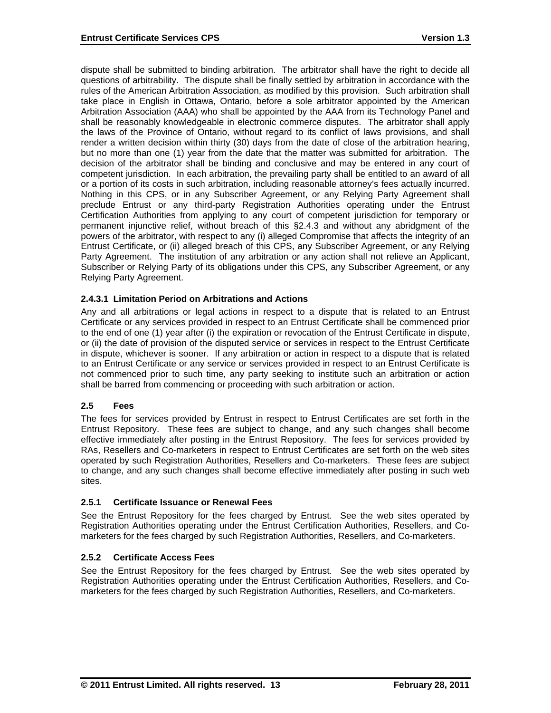dispute shall be submitted to binding arbitration. The arbitrator shall have the right to decide all questions of arbitrability. The dispute shall be finally settled by arbitration in accordance with the rules of the American Arbitration Association, as modified by this provision. Such arbitration shall take place in English in Ottawa, Ontario, before a sole arbitrator appointed by the American Arbitration Association (AAA) who shall be appointed by the AAA from its Technology Panel and shall be reasonably knowledgeable in electronic commerce disputes. The arbitrator shall apply the laws of the Province of Ontario, without regard to its conflict of laws provisions, and shall render a written decision within thirty (30) days from the date of close of the arbitration hearing, but no more than one (1) year from the date that the matter was submitted for arbitration. The decision of the arbitrator shall be binding and conclusive and may be entered in any court of competent jurisdiction. In each arbitration, the prevailing party shall be entitled to an award of all or a portion of its costs in such arbitration, including reasonable attorney's fees actually incurred. Nothing in this CPS, or in any Subscriber Agreement, or any Relying Party Agreement shall preclude Entrust or any third-party Registration Authorities operating under the Entrust Certification Authorities from applying to any court of competent jurisdiction for temporary or permanent injunctive relief, without breach of this §2.4.3 and without any abridgment of the powers of the arbitrator, with respect to any (i) alleged Compromise that affects the integrity of an Entrust Certificate, or (ii) alleged breach of this CPS, any Subscriber Agreement, or any Relying Party Agreement. The institution of any arbitration or any action shall not relieve an Applicant, Subscriber or Relying Party of its obligations under this CPS, any Subscriber Agreement, or any Relying Party Agreement.

### **2.4.3.1 Limitation Period on Arbitrations and Actions**

Any and all arbitrations or legal actions in respect to a dispute that is related to an Entrust Certificate or any services provided in respect to an Entrust Certificate shall be commenced prior to the end of one (1) year after (i) the expiration or revocation of the Entrust Certificate in dispute, or (ii) the date of provision of the disputed service or services in respect to the Entrust Certificate in dispute, whichever is sooner. If any arbitration or action in respect to a dispute that is related to an Entrust Certificate or any service or services provided in respect to an Entrust Certificate is not commenced prior to such time, any party seeking to institute such an arbitration or action shall be barred from commencing or proceeding with such arbitration or action.

### **2.5 Fees**

The fees for services provided by Entrust in respect to Entrust Certificates are set forth in the Entrust Repository. These fees are subject to change, and any such changes shall become effective immediately after posting in the Entrust Repository. The fees for services provided by RAs, Resellers and Co-marketers in respect to Entrust Certificates are set forth on the web sites operated by such Registration Authorities, Resellers and Co-marketers. These fees are subject to change, and any such changes shall become effective immediately after posting in such web sites.

### **2.5.1 Certificate Issuance or Renewal Fees**

See the Entrust Repository for the fees charged by Entrust. See the web sites operated by Registration Authorities operating under the Entrust Certification Authorities, Resellers, and Comarketers for the fees charged by such Registration Authorities, Resellers, and Co-marketers.

### **2.5.2 Certificate Access Fees**

See the Entrust Repository for the fees charged by Entrust. See the web sites operated by Registration Authorities operating under the Entrust Certification Authorities, Resellers, and Comarketers for the fees charged by such Registration Authorities, Resellers, and Co-marketers.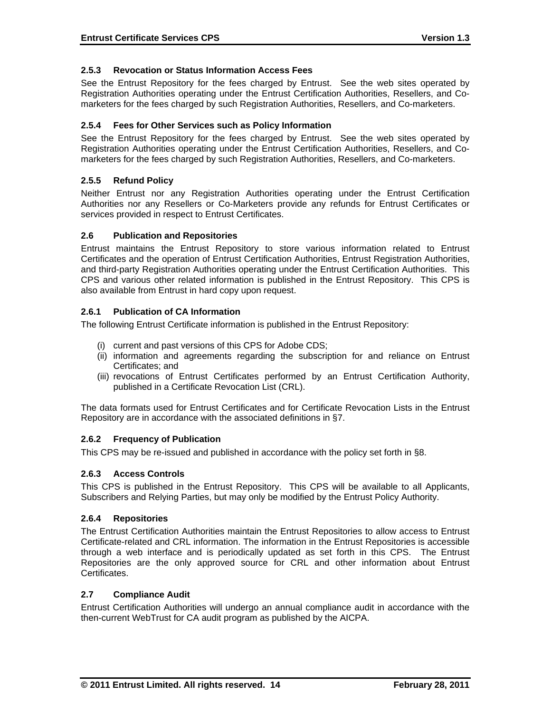### **2.5.3 Revocation or Status Information Access Fees**

See the Entrust Repository for the fees charged by Entrust. See the web sites operated by Registration Authorities operating under the Entrust Certification Authorities, Resellers, and Comarketers for the fees charged by such Registration Authorities, Resellers, and Co-marketers.

#### **2.5.4 Fees for Other Services such as Policy Information**

See the Entrust Repository for the fees charged by Entrust. See the web sites operated by Registration Authorities operating under the Entrust Certification Authorities, Resellers, and Comarketers for the fees charged by such Registration Authorities, Resellers, and Co-marketers.

#### **2.5.5 Refund Policy**

Neither Entrust nor any Registration Authorities operating under the Entrust Certification Authorities nor any Resellers or Co-Marketers provide any refunds for Entrust Certificates or services provided in respect to Entrust Certificates.

#### **2.6 Publication and Repositories**

Entrust maintains the Entrust Repository to store various information related to Entrust Certificates and the operation of Entrust Certification Authorities, Entrust Registration Authorities, and third-party Registration Authorities operating under the Entrust Certification Authorities. This CPS and various other related information is published in the Entrust Repository. This CPS is also available from Entrust in hard copy upon request.

#### **2.6.1 Publication of CA Information**

The following Entrust Certificate information is published in the Entrust Repository:

- (i) current and past versions of this CPS for Adobe CDS;
- (ii) information and agreements regarding the subscription for and reliance on Entrust Certificates; and
- (iii) revocations of Entrust Certificates performed by an Entrust Certification Authority, published in a Certificate Revocation List (CRL).

The data formats used for Entrust Certificates and for Certificate Revocation Lists in the Entrust Repository are in accordance with the associated definitions in §7.

#### **2.6.2 Frequency of Publication**

This CPS may be re-issued and published in accordance with the policy set forth in §8.

#### **2.6.3 Access Controls**

This CPS is published in the Entrust Repository. This CPS will be available to all Applicants, Subscribers and Relying Parties, but may only be modified by the Entrust Policy Authority.

#### **2.6.4 Repositories**

The Entrust Certification Authorities maintain the Entrust Repositories to allow access to Entrust Certificate-related and CRL information. The information in the Entrust Repositories is accessible through a web interface and is periodically updated as set forth in this CPS. The Entrust Repositories are the only approved source for CRL and other information about Entrust Certificates.

#### **2.7 Compliance Audit**

Entrust Certification Authorities will undergo an annual compliance audit in accordance with the then-current WebTrust for CA audit program as published by the AICPA.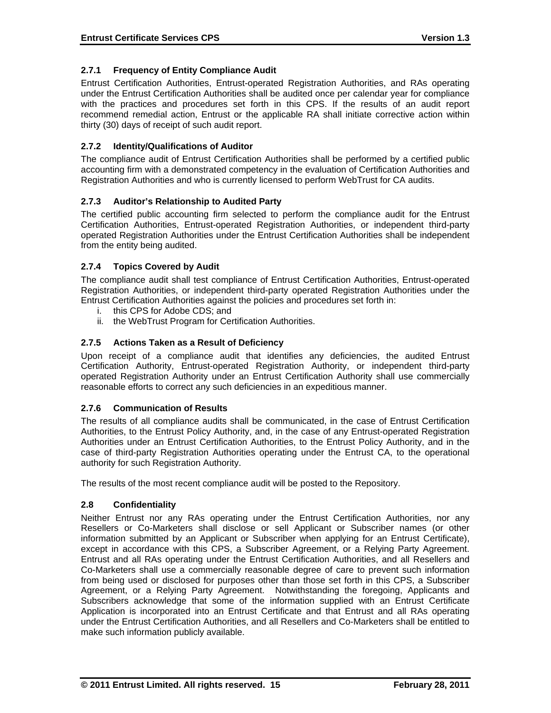# **2.7.1 Frequency of Entity Compliance Audit**

Entrust Certification Authorities, Entrust-operated Registration Authorities, and RAs operating under the Entrust Certification Authorities shall be audited once per calendar year for compliance with the practices and procedures set forth in this CPS. If the results of an audit report recommend remedial action, Entrust or the applicable RA shall initiate corrective action within thirty (30) days of receipt of such audit report.

# **2.7.2 Identity/Qualifications of Auditor**

The compliance audit of Entrust Certification Authorities shall be performed by a certified public accounting firm with a demonstrated competency in the evaluation of Certification Authorities and Registration Authorities and who is currently licensed to perform WebTrust for CA audits.

### **2.7.3 Auditor's Relationship to Audited Party**

The certified public accounting firm selected to perform the compliance audit for the Entrust Certification Authorities, Entrust-operated Registration Authorities, or independent third-party operated Registration Authorities under the Entrust Certification Authorities shall be independent from the entity being audited.

### **2.7.4 Topics Covered by Audit**

The compliance audit shall test compliance of Entrust Certification Authorities, Entrust-operated Registration Authorities, or independent third-party operated Registration Authorities under the Entrust Certification Authorities against the policies and procedures set forth in:

- i. this CPS for Adobe CDS; and
- ii. the WebTrust Program for Certification Authorities.

### **2.7.5 Actions Taken as a Result of Deficiency**

Upon receipt of a compliance audit that identifies any deficiencies, the audited Entrust Certification Authority, Entrust-operated Registration Authority, or independent third-party operated Registration Authority under an Entrust Certification Authority shall use commercially reasonable efforts to correct any such deficiencies in an expeditious manner.

### **2.7.6 Communication of Results**

The results of all compliance audits shall be communicated, in the case of Entrust Certification Authorities, to the Entrust Policy Authority, and, in the case of any Entrust-operated Registration Authorities under an Entrust Certification Authorities, to the Entrust Policy Authority, and in the case of third-party Registration Authorities operating under the Entrust CA, to the operational authority for such Registration Authority.

The results of the most recent compliance audit will be posted to the Repository.

### **2.8 Confidentiality**

Neither Entrust nor any RAs operating under the Entrust Certification Authorities, nor any Resellers or Co-Marketers shall disclose or sell Applicant or Subscriber names (or other information submitted by an Applicant or Subscriber when applying for an Entrust Certificate), except in accordance with this CPS, a Subscriber Agreement, or a Relying Party Agreement. Entrust and all RAs operating under the Entrust Certification Authorities, and all Resellers and Co-Marketers shall use a commercially reasonable degree of care to prevent such information from being used or disclosed for purposes other than those set forth in this CPS, a Subscriber Agreement, or a Relying Party Agreement. Notwithstanding the foregoing, Applicants and Subscribers acknowledge that some of the information supplied with an Entrust Certificate Application is incorporated into an Entrust Certificate and that Entrust and all RAs operating under the Entrust Certification Authorities, and all Resellers and Co-Marketers shall be entitled to make such information publicly available.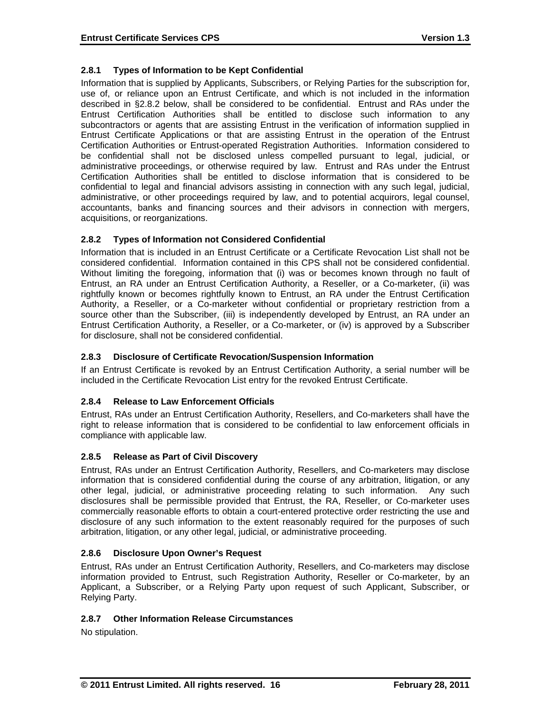# **2.8.1 Types of Information to be Kept Confidential**

Information that is supplied by Applicants, Subscribers, or Relying Parties for the subscription for, use of, or reliance upon an Entrust Certificate, and which is not included in the information described in §2.8.2 below, shall be considered to be confidential. Entrust and RAs under the Entrust Certification Authorities shall be entitled to disclose such information to any subcontractors or agents that are assisting Entrust in the verification of information supplied in Entrust Certificate Applications or that are assisting Entrust in the operation of the Entrust Certification Authorities or Entrust-operated Registration Authorities. Information considered to be confidential shall not be disclosed unless compelled pursuant to legal, judicial, or administrative proceedings, or otherwise required by law. Entrust and RAs under the Entrust Certification Authorities shall be entitled to disclose information that is considered to be confidential to legal and financial advisors assisting in connection with any such legal, judicial, administrative, or other proceedings required by law, and to potential acquirors, legal counsel, accountants, banks and financing sources and their advisors in connection with mergers, acquisitions, or reorganizations.

# **2.8.2 Types of Information not Considered Confidential**

Information that is included in an Entrust Certificate or a Certificate Revocation List shall not be considered confidential. Information contained in this CPS shall not be considered confidential. Without limiting the foregoing, information that (i) was or becomes known through no fault of Entrust, an RA under an Entrust Certification Authority, a Reseller, or a Co-marketer, (ii) was rightfully known or becomes rightfully known to Entrust, an RA under the Entrust Certification Authority, a Reseller, or a Co-marketer without confidential or proprietary restriction from a source other than the Subscriber, (iii) is independently developed by Entrust, an RA under an Entrust Certification Authority, a Reseller, or a Co-marketer, or (iv) is approved by a Subscriber for disclosure, shall not be considered confidential.

### **2.8.3 Disclosure of Certificate Revocation/Suspension Information**

If an Entrust Certificate is revoked by an Entrust Certification Authority, a serial number will be included in the Certificate Revocation List entry for the revoked Entrust Certificate.

### **2.8.4 Release to Law Enforcement Officials**

Entrust, RAs under an Entrust Certification Authority, Resellers, and Co-marketers shall have the right to release information that is considered to be confidential to law enforcement officials in compliance with applicable law.

### **2.8.5 Release as Part of Civil Discovery**

Entrust, RAs under an Entrust Certification Authority, Resellers, and Co-marketers may disclose information that is considered confidential during the course of any arbitration, litigation, or any other legal, judicial, or administrative proceeding relating to such information. Any such disclosures shall be permissible provided that Entrust, the RA, Reseller, or Co-marketer uses commercially reasonable efforts to obtain a court-entered protective order restricting the use and disclosure of any such information to the extent reasonably required for the purposes of such arbitration, litigation, or any other legal, judicial, or administrative proceeding.

### **2.8.6 Disclosure Upon Owner's Request**

Entrust, RAs under an Entrust Certification Authority, Resellers, and Co-marketers may disclose information provided to Entrust, such Registration Authority, Reseller or Co-marketer, by an Applicant, a Subscriber, or a Relying Party upon request of such Applicant, Subscriber, or Relying Party.

# **2.8.7 Other Information Release Circumstances**

No stipulation.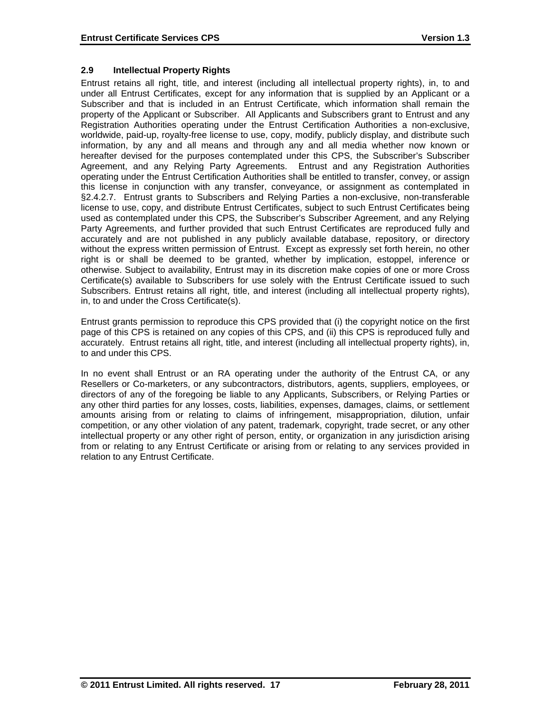# **2.9 Intellectual Property Rights**

Entrust retains all right, title, and interest (including all intellectual property rights), in, to and under all Entrust Certificates, except for any information that is supplied by an Applicant or a Subscriber and that is included in an Entrust Certificate, which information shall remain the property of the Applicant or Subscriber. All Applicants and Subscribers grant to Entrust and any Registration Authorities operating under the Entrust Certification Authorities a non-exclusive, worldwide, paid-up, royalty-free license to use, copy, modify, publicly display, and distribute such information, by any and all means and through any and all media whether now known or hereafter devised for the purposes contemplated under this CPS, the Subscriber's Subscriber Agreement, and any Relying Party Agreements. Entrust and any Registration Authorities operating under the Entrust Certification Authorities shall be entitled to transfer, convey, or assign this license in conjunction with any transfer, conveyance, or assignment as contemplated in §2.4.2.7. Entrust grants to Subscribers and Relying Parties a non-exclusive, non-transferable license to use, copy, and distribute Entrust Certificates, subject to such Entrust Certificates being used as contemplated under this CPS, the Subscriber's Subscriber Agreement, and any Relying Party Agreements, and further provided that such Entrust Certificates are reproduced fully and accurately and are not published in any publicly available database, repository, or directory without the express written permission of Entrust. Except as expressly set forth herein, no other right is or shall be deemed to be granted, whether by implication, estoppel, inference or otherwise. Subject to availability, Entrust may in its discretion make copies of one or more Cross Certificate(s) available to Subscribers for use solely with the Entrust Certificate issued to such Subscribers. Entrust retains all right, title, and interest (including all intellectual property rights), in, to and under the Cross Certificate(s).

Entrust grants permission to reproduce this CPS provided that (i) the copyright notice on the first page of this CPS is retained on any copies of this CPS, and (ii) this CPS is reproduced fully and accurately. Entrust retains all right, title, and interest (including all intellectual property rights), in, to and under this CPS.

In no event shall Entrust or an RA operating under the authority of the Entrust CA, or any Resellers or Co-marketers, or any subcontractors, distributors, agents, suppliers, employees, or directors of any of the foregoing be liable to any Applicants, Subscribers, or Relying Parties or any other third parties for any losses, costs, liabilities, expenses, damages, claims, or settlement amounts arising from or relating to claims of infringement, misappropriation, dilution, unfair competition, or any other violation of any patent, trademark, copyright, trade secret, or any other intellectual property or any other right of person, entity, or organization in any jurisdiction arising from or relating to any Entrust Certificate or arising from or relating to any services provided in relation to any Entrust Certificate.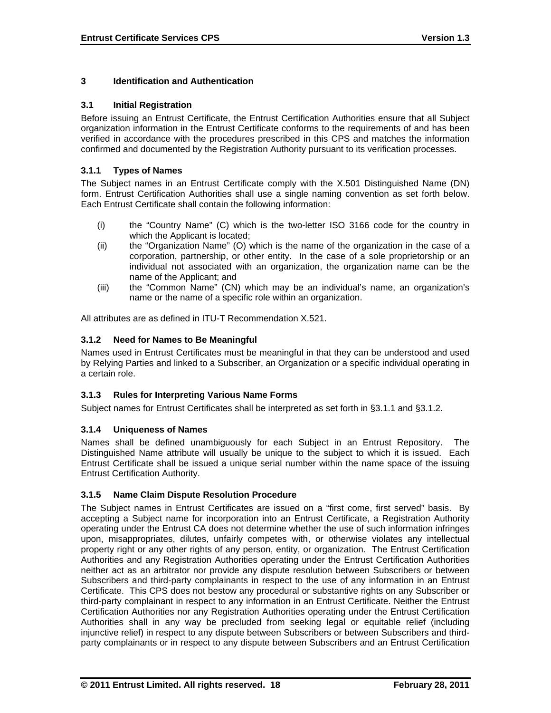# **3 Identification and Authentication**

### **3.1 Initial Registration**

Before issuing an Entrust Certificate, the Entrust Certification Authorities ensure that all Subject organization information in the Entrust Certificate conforms to the requirements of and has been verified in accordance with the procedures prescribed in this CPS and matches the information confirmed and documented by the Registration Authority pursuant to its verification processes.

### **3.1.1 Types of Names**

The Subject names in an Entrust Certificate comply with the X.501 Distinguished Name (DN) form. Entrust Certification Authorities shall use a single naming convention as set forth below. Each Entrust Certificate shall contain the following information:

- (i) the "Country Name" (C) which is the two-letter ISO 3166 code for the country in which the Applicant is located;
- (ii) the "Organization Name" (O) which is the name of the organization in the case of a corporation, partnership, or other entity. In the case of a sole proprietorship or an individual not associated with an organization, the organization name can be the name of the Applicant; and
- (iii) the "Common Name" (CN) which may be an individual's name, an organization's name or the name of a specific role within an organization.

All attributes are as defined in ITU-T Recommendation X.521.

### **3.1.2 Need for Names to Be Meaningful**

Names used in Entrust Certificates must be meaningful in that they can be understood and used by Relying Parties and linked to a Subscriber, an Organization or a specific individual operating in a certain role.

### **3.1.3 Rules for Interpreting Various Name Forms**

Subject names for Entrust Certificates shall be interpreted as set forth in §3.1.1 and §3.1.2.

### **3.1.4 Uniqueness of Names**

Names shall be defined unambiguously for each Subject in an Entrust Repository. The Distinguished Name attribute will usually be unique to the subject to which it is issued. Each Entrust Certificate shall be issued a unique serial number within the name space of the issuing Entrust Certification Authority.

### **3.1.5 Name Claim Dispute Resolution Procedure**

The Subject names in Entrust Certificates are issued on a "first come, first served" basis. By accepting a Subject name for incorporation into an Entrust Certificate, a Registration Authority operating under the Entrust CA does not determine whether the use of such information infringes upon, misappropriates, dilutes, unfairly competes with, or otherwise violates any intellectual property right or any other rights of any person, entity, or organization. The Entrust Certification Authorities and any Registration Authorities operating under the Entrust Certification Authorities neither act as an arbitrator nor provide any dispute resolution between Subscribers or between Subscribers and third-party complainants in respect to the use of any information in an Entrust Certificate. This CPS does not bestow any procedural or substantive rights on any Subscriber or third-party complainant in respect to any information in an Entrust Certificate. Neither the Entrust Certification Authorities nor any Registration Authorities operating under the Entrust Certification Authorities shall in any way be precluded from seeking legal or equitable relief (including injunctive relief) in respect to any dispute between Subscribers or between Subscribers and thirdparty complainants or in respect to any dispute between Subscribers and an Entrust Certification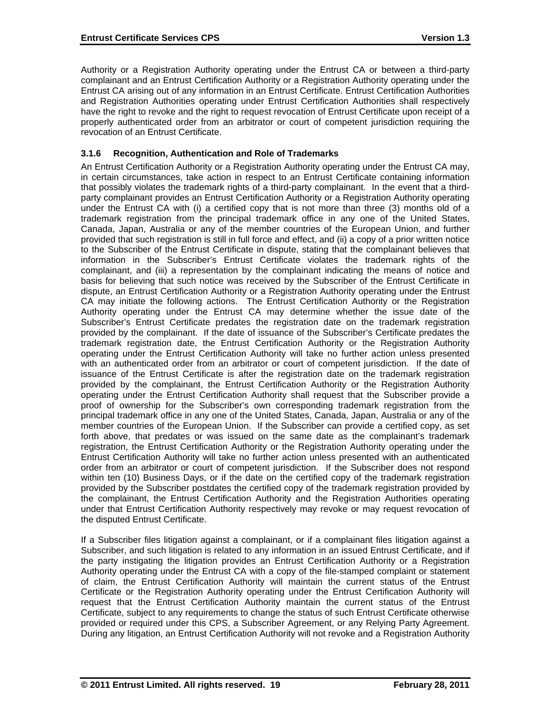Authority or a Registration Authority operating under the Entrust CA or between a third-party complainant and an Entrust Certification Authority or a Registration Authority operating under the Entrust CA arising out of any information in an Entrust Certificate. Entrust Certification Authorities and Registration Authorities operating under Entrust Certification Authorities shall respectively have the right to revoke and the right to request revocation of Entrust Certificate upon receipt of a properly authenticated order from an arbitrator or court of competent jurisdiction requiring the revocation of an Entrust Certificate.

# **3.1.6 Recognition, Authentication and Role of Trademarks**

An Entrust Certification Authority or a Registration Authority operating under the Entrust CA may, in certain circumstances, take action in respect to an Entrust Certificate containing information that possibly violates the trademark rights of a third-party complainant. In the event that a thirdparty complainant provides an Entrust Certification Authority or a Registration Authority operating under the Entrust CA with (i) a certified copy that is not more than three (3) months old of a trademark registration from the principal trademark office in any one of the United States, Canada, Japan, Australia or any of the member countries of the European Union, and further provided that such registration is still in full force and effect, and (ii) a copy of a prior written notice to the Subscriber of the Entrust Certificate in dispute, stating that the complainant believes that information in the Subscriber's Entrust Certificate violates the trademark rights of the complainant, and (iii) a representation by the complainant indicating the means of notice and basis for believing that such notice was received by the Subscriber of the Entrust Certificate in dispute, an Entrust Certification Authority or a Registration Authority operating under the Entrust CA may initiate the following actions. The Entrust Certification Authority or the Registration Authority operating under the Entrust CA may determine whether the issue date of the Subscriber's Entrust Certificate predates the registration date on the trademark registration provided by the complainant. If the date of issuance of the Subscriber's Certificate predates the trademark registration date, the Entrust Certification Authority or the Registration Authority operating under the Entrust Certification Authority will take no further action unless presented with an authenticated order from an arbitrator or court of competent jurisdiction. If the date of issuance of the Entrust Certificate is after the registration date on the trademark registration provided by the complainant, the Entrust Certification Authority or the Registration Authority operating under the Entrust Certification Authority shall request that the Subscriber provide a proof of ownership for the Subscriber's own corresponding trademark registration from the principal trademark office in any one of the United States, Canada, Japan, Australia or any of the member countries of the European Union. If the Subscriber can provide a certified copy, as set forth above, that predates or was issued on the same date as the complainant's trademark registration, the Entrust Certification Authority or the Registration Authority operating under the Entrust Certification Authority will take no further action unless presented with an authenticated order from an arbitrator or court of competent jurisdiction. If the Subscriber does not respond within ten (10) Business Days, or if the date on the certified copy of the trademark registration provided by the Subscriber postdates the certified copy of the trademark registration provided by the complainant, the Entrust Certification Authority and the Registration Authorities operating under that Entrust Certification Authority respectively may revoke or may request revocation of the disputed Entrust Certificate.

If a Subscriber files litigation against a complainant, or if a complainant files litigation against a Subscriber, and such litigation is related to any information in an issued Entrust Certificate, and if the party instigating the litigation provides an Entrust Certification Authority or a Registration Authority operating under the Entrust CA with a copy of the file-stamped complaint or statement of claim, the Entrust Certification Authority will maintain the current status of the Entrust Certificate or the Registration Authority operating under the Entrust Certification Authority will request that the Entrust Certification Authority maintain the current status of the Entrust Certificate, subject to any requirements to change the status of such Entrust Certificate otherwise provided or required under this CPS, a Subscriber Agreement, or any Relying Party Agreement. During any litigation, an Entrust Certification Authority will not revoke and a Registration Authority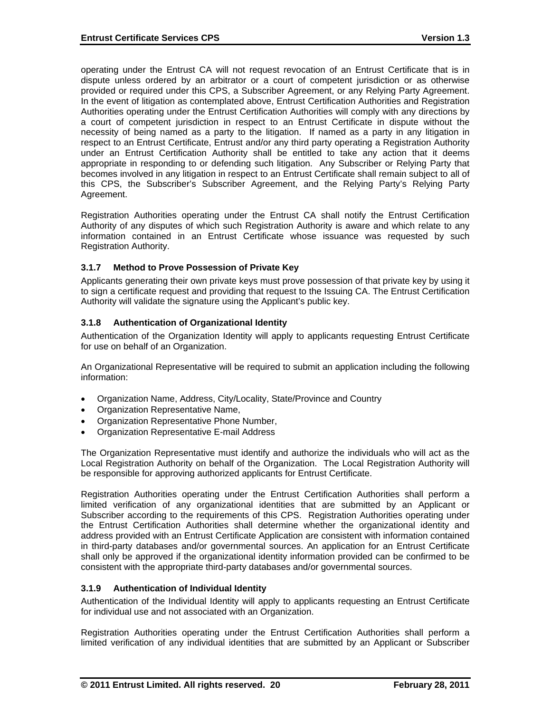operating under the Entrust CA will not request revocation of an Entrust Certificate that is in dispute unless ordered by an arbitrator or a court of competent jurisdiction or as otherwise provided or required under this CPS, a Subscriber Agreement, or any Relying Party Agreement. In the event of litigation as contemplated above, Entrust Certification Authorities and Registration Authorities operating under the Entrust Certification Authorities will comply with any directions by a court of competent jurisdiction in respect to an Entrust Certificate in dispute without the necessity of being named as a party to the litigation. If named as a party in any litigation in respect to an Entrust Certificate, Entrust and/or any third party operating a Registration Authority under an Entrust Certification Authority shall be entitled to take any action that it deems appropriate in responding to or defending such litigation. Any Subscriber or Relying Party that becomes involved in any litigation in respect to an Entrust Certificate shall remain subject to all of this CPS, the Subscriber's Subscriber Agreement, and the Relying Party's Relying Party Agreement.

Registration Authorities operating under the Entrust CA shall notify the Entrust Certification Authority of any disputes of which such Registration Authority is aware and which relate to any information contained in an Entrust Certificate whose issuance was requested by such Registration Authority.

### **3.1.7 Method to Prove Possession of Private Key**

Applicants generating their own private keys must prove possession of that private key by using it to sign a certificate request and providing that request to the Issuing CA. The Entrust Certification Authority will validate the signature using the Applicant's public key.

# **3.1.8 Authentication of Organizational Identity**

Authentication of the Organization Identity will apply to applicants requesting Entrust Certificate for use on behalf of an Organization.

An Organizational Representative will be required to submit an application including the following information:

- Organization Name, Address, City/Locality, State/Province and Country
- Organization Representative Name,
- Organization Representative Phone Number,
- Organization Representative E-mail Address

The Organization Representative must identify and authorize the individuals who will act as the Local Registration Authority on behalf of the Organization. The Local Registration Authority will be responsible for approving authorized applicants for Entrust Certificate.

Registration Authorities operating under the Entrust Certification Authorities shall perform a limited verification of any organizational identities that are submitted by an Applicant or Subscriber according to the requirements of this CPS. Registration Authorities operating under the Entrust Certification Authorities shall determine whether the organizational identity and address provided with an Entrust Certificate Application are consistent with information contained in third-party databases and/or governmental sources. An application for an Entrust Certificate shall only be approved if the organizational identity information provided can be confirmed to be consistent with the appropriate third-party databases and/or governmental sources.

### **3.1.9 Authentication of Individual Identity**

Authentication of the Individual Identity will apply to applicants requesting an Entrust Certificate for individual use and not associated with an Organization.

Registration Authorities operating under the Entrust Certification Authorities shall perform a limited verification of any individual identities that are submitted by an Applicant or Subscriber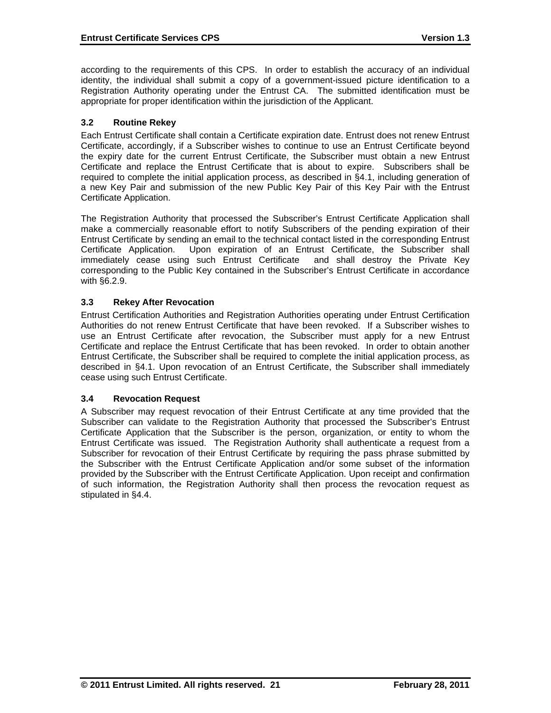according to the requirements of this CPS. In order to establish the accuracy of an individual identity, the individual shall submit a copy of a government-issued picture identification to a Registration Authority operating under the Entrust CA. The submitted identification must be appropriate for proper identification within the jurisdiction of the Applicant.

### **3.2 Routine Rekey**

Each Entrust Certificate shall contain a Certificate expiration date. Entrust does not renew Entrust Certificate, accordingly, if a Subscriber wishes to continue to use an Entrust Certificate beyond the expiry date for the current Entrust Certificate, the Subscriber must obtain a new Entrust Certificate and replace the Entrust Certificate that is about to expire. Subscribers shall be required to complete the initial application process, as described in §4.1, including generation of a new Key Pair and submission of the new Public Key Pair of this Key Pair with the Entrust Certificate Application.

The Registration Authority that processed the Subscriber's Entrust Certificate Application shall make a commercially reasonable effort to notify Subscribers of the pending expiration of their Entrust Certificate by sending an email to the technical contact listed in the corresponding Entrust Certificate Application. Upon expiration of an Entrust Certificate, the Subscriber shall immediately cease using such Entrust Certificate and shall destroy the Private Key corresponding to the Public Key contained in the Subscriber's Entrust Certificate in accordance with §6.2.9.

### **3.3 Rekey After Revocation**

Entrust Certification Authorities and Registration Authorities operating under Entrust Certification Authorities do not renew Entrust Certificate that have been revoked. If a Subscriber wishes to use an Entrust Certificate after revocation, the Subscriber must apply for a new Entrust Certificate and replace the Entrust Certificate that has been revoked. In order to obtain another Entrust Certificate, the Subscriber shall be required to complete the initial application process, as described in §4.1. Upon revocation of an Entrust Certificate, the Subscriber shall immediately cease using such Entrust Certificate.

### **3.4 Revocation Request**

A Subscriber may request revocation of their Entrust Certificate at any time provided that the Subscriber can validate to the Registration Authority that processed the Subscriber's Entrust Certificate Application that the Subscriber is the person, organization, or entity to whom the Entrust Certificate was issued. The Registration Authority shall authenticate a request from a Subscriber for revocation of their Entrust Certificate by requiring the pass phrase submitted by the Subscriber with the Entrust Certificate Application and/or some subset of the information provided by the Subscriber with the Entrust Certificate Application. Upon receipt and confirmation of such information, the Registration Authority shall then process the revocation request as stipulated in §4.4.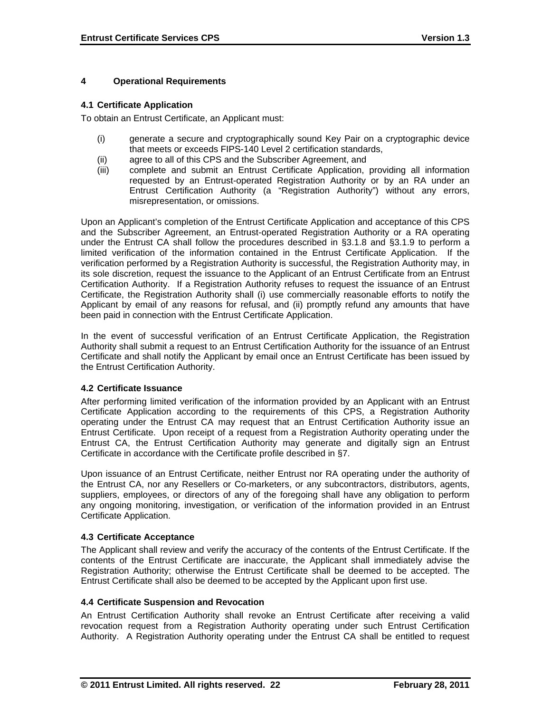### **4 Operational Requirements**

### **4.1 Certificate Application**

To obtain an Entrust Certificate, an Applicant must:

- (i) generate a secure and cryptographically sound Key Pair on a cryptographic device that meets or exceeds FIPS-140 Level 2 certification standards,
- (ii) agree to all of this CPS and the Subscriber Agreement, and
- (iii) complete and submit an Entrust Certificate Application, providing all information requested by an Entrust-operated Registration Authority or by an RA under an Entrust Certification Authority (a "Registration Authority") without any errors, misrepresentation, or omissions.

Upon an Applicant's completion of the Entrust Certificate Application and acceptance of this CPS and the Subscriber Agreement, an Entrust-operated Registration Authority or a RA operating under the Entrust CA shall follow the procedures described in §3.1.8 and §3.1.9 to perform a limited verification of the information contained in the Entrust Certificate Application. If the verification performed by a Registration Authority is successful, the Registration Authority may, in its sole discretion, request the issuance to the Applicant of an Entrust Certificate from an Entrust Certification Authority. If a Registration Authority refuses to request the issuance of an Entrust Certificate, the Registration Authority shall (i) use commercially reasonable efforts to notify the Applicant by email of any reasons for refusal, and (ii) promptly refund any amounts that have been paid in connection with the Entrust Certificate Application.

In the event of successful verification of an Entrust Certificate Application, the Registration Authority shall submit a request to an Entrust Certification Authority for the issuance of an Entrust Certificate and shall notify the Applicant by email once an Entrust Certificate has been issued by the Entrust Certification Authority.

### **4.2 Certificate Issuance**

After performing limited verification of the information provided by an Applicant with an Entrust Certificate Application according to the requirements of this CPS, a Registration Authority operating under the Entrust CA may request that an Entrust Certification Authority issue an Entrust Certificate. Upon receipt of a request from a Registration Authority operating under the Entrust CA, the Entrust Certification Authority may generate and digitally sign an Entrust Certificate in accordance with the Certificate profile described in §7.

Upon issuance of an Entrust Certificate, neither Entrust nor RA operating under the authority of the Entrust CA, nor any Resellers or Co-marketers, or any subcontractors, distributors, agents, suppliers, employees, or directors of any of the foregoing shall have any obligation to perform any ongoing monitoring, investigation, or verification of the information provided in an Entrust Certificate Application.

### **4.3 Certificate Acceptance**

The Applicant shall review and verify the accuracy of the contents of the Entrust Certificate. If the contents of the Entrust Certificate are inaccurate, the Applicant shall immediately advise the Registration Authority; otherwise the Entrust Certificate shall be deemed to be accepted. The Entrust Certificate shall also be deemed to be accepted by the Applicant upon first use.

### **4.4 Certificate Suspension and Revocation**

An Entrust Certification Authority shall revoke an Entrust Certificate after receiving a valid revocation request from a Registration Authority operating under such Entrust Certification Authority. A Registration Authority operating under the Entrust CA shall be entitled to request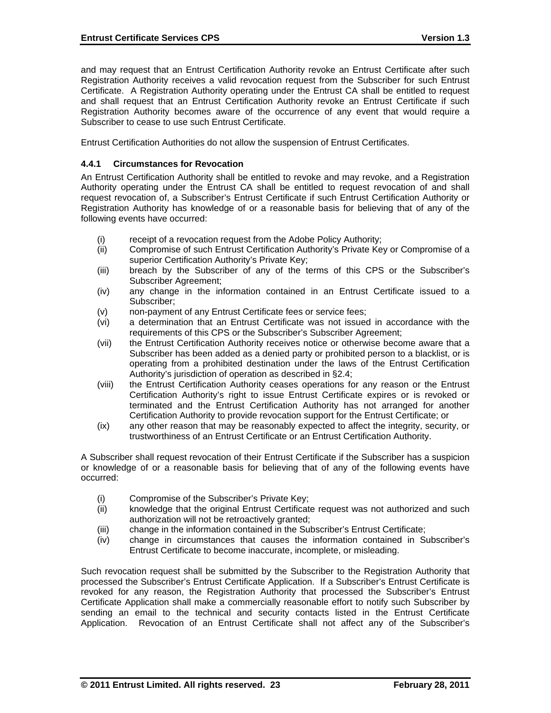and may request that an Entrust Certification Authority revoke an Entrust Certificate after such Registration Authority receives a valid revocation request from the Subscriber for such Entrust Certificate. A Registration Authority operating under the Entrust CA shall be entitled to request and shall request that an Entrust Certification Authority revoke an Entrust Certificate if such Registration Authority becomes aware of the occurrence of any event that would require a Subscriber to cease to use such Entrust Certificate.

Entrust Certification Authorities do not allow the suspension of Entrust Certificates.

#### **4.4.1 Circumstances for Revocation**

An Entrust Certification Authority shall be entitled to revoke and may revoke, and a Registration Authority operating under the Entrust CA shall be entitled to request revocation of and shall request revocation of, a Subscriber's Entrust Certificate if such Entrust Certification Authority or Registration Authority has knowledge of or a reasonable basis for believing that of any of the following events have occurred:

- (i) receipt of a revocation request from the Adobe Policy Authority;
- (ii) Compromise of such Entrust Certification Authority's Private Key or Compromise of a superior Certification Authority's Private Key;
- (iii) breach by the Subscriber of any of the terms of this CPS or the Subscriber's Subscriber Agreement;
- (iv) any change in the information contained in an Entrust Certificate issued to a Subscriber;
- (v) non-payment of any Entrust Certificate fees or service fees;
- (vi) a determination that an Entrust Certificate was not issued in accordance with the requirements of this CPS or the Subscriber's Subscriber Agreement;
- (vii) the Entrust Certification Authority receives notice or otherwise become aware that a Subscriber has been added as a denied party or prohibited person to a blacklist, or is operating from a prohibited destination under the laws of the Entrust Certification Authority's jurisdiction of operation as described in §2.4;
- (viii) the Entrust Certification Authority ceases operations for any reason or the Entrust Certification Authority's right to issue Entrust Certificate expires or is revoked or terminated and the Entrust Certification Authority has not arranged for another Certification Authority to provide revocation support for the Entrust Certificate; or
- (ix) any other reason that may be reasonably expected to affect the integrity, security, or trustworthiness of an Entrust Certificate or an Entrust Certification Authority.

A Subscriber shall request revocation of their Entrust Certificate if the Subscriber has a suspicion or knowledge of or a reasonable basis for believing that of any of the following events have occurred:

- (i) Compromise of the Subscriber's Private Key;
- (ii) knowledge that the original Entrust Certificate request was not authorized and such authorization will not be retroactively granted;
- (iii) change in the information contained in the Subscriber's Entrust Certificate;
- (iv) change in circumstances that causes the information contained in Subscriber's Entrust Certificate to become inaccurate, incomplete, or misleading.

Such revocation request shall be submitted by the Subscriber to the Registration Authority that processed the Subscriber's Entrust Certificate Application. If a Subscriber's Entrust Certificate is revoked for any reason, the Registration Authority that processed the Subscriber's Entrust Certificate Application shall make a commercially reasonable effort to notify such Subscriber by sending an email to the technical and security contacts listed in the Entrust Certificate Application. Revocation of an Entrust Certificate shall not affect any of the Subscriber's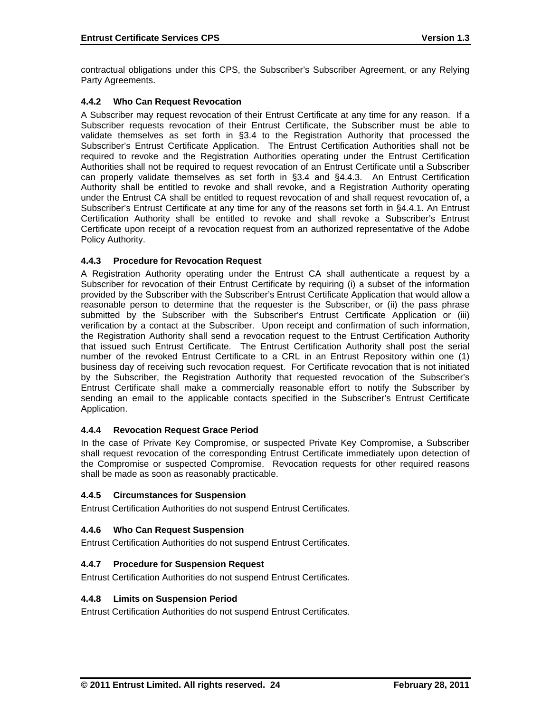contractual obligations under this CPS, the Subscriber's Subscriber Agreement, or any Relying Party Agreements.

# **4.4.2 Who Can Request Revocation**

A Subscriber may request revocation of their Entrust Certificate at any time for any reason. If a Subscriber requests revocation of their Entrust Certificate, the Subscriber must be able to validate themselves as set forth in §3.4 to the Registration Authority that processed the Subscriber's Entrust Certificate Application. The Entrust Certification Authorities shall not be required to revoke and the Registration Authorities operating under the Entrust Certification Authorities shall not be required to request revocation of an Entrust Certificate until a Subscriber can properly validate themselves as set forth in §3.4 and §4.4.3. An Entrust Certification Authority shall be entitled to revoke and shall revoke, and a Registration Authority operating under the Entrust CA shall be entitled to request revocation of and shall request revocation of, a Subscriber's Entrust Certificate at any time for any of the reasons set forth in §4.4.1. An Entrust Certification Authority shall be entitled to revoke and shall revoke a Subscriber's Entrust Certificate upon receipt of a revocation request from an authorized representative of the Adobe Policy Authority.

### **4.4.3 Procedure for Revocation Request**

A Registration Authority operating under the Entrust CA shall authenticate a request by a Subscriber for revocation of their Entrust Certificate by requiring (i) a subset of the information provided by the Subscriber with the Subscriber's Entrust Certificate Application that would allow a reasonable person to determine that the requester is the Subscriber, or (ii) the pass phrase submitted by the Subscriber with the Subscriber's Entrust Certificate Application or (iii) verification by a contact at the Subscriber. Upon receipt and confirmation of such information, the Registration Authority shall send a revocation request to the Entrust Certification Authority that issued such Entrust Certificate. The Entrust Certification Authority shall post the serial number of the revoked Entrust Certificate to a CRL in an Entrust Repository within one (1) business day of receiving such revocation request. For Certificate revocation that is not initiated by the Subscriber, the Registration Authority that requested revocation of the Subscriber's Entrust Certificate shall make a commercially reasonable effort to notify the Subscriber by sending an email to the applicable contacts specified in the Subscriber's Entrust Certificate Application.

### **4.4.4 Revocation Request Grace Period**

In the case of Private Key Compromise, or suspected Private Key Compromise, a Subscriber shall request revocation of the corresponding Entrust Certificate immediately upon detection of the Compromise or suspected Compromise. Revocation requests for other required reasons shall be made as soon as reasonably practicable.

### **4.4.5 Circumstances for Suspension**

Entrust Certification Authorities do not suspend Entrust Certificates.

### **4.4.6 Who Can Request Suspension**

Entrust Certification Authorities do not suspend Entrust Certificates.

### **4.4.7 Procedure for Suspension Request**

Entrust Certification Authorities do not suspend Entrust Certificates.

### **4.4.8 Limits on Suspension Period**

Entrust Certification Authorities do not suspend Entrust Certificates.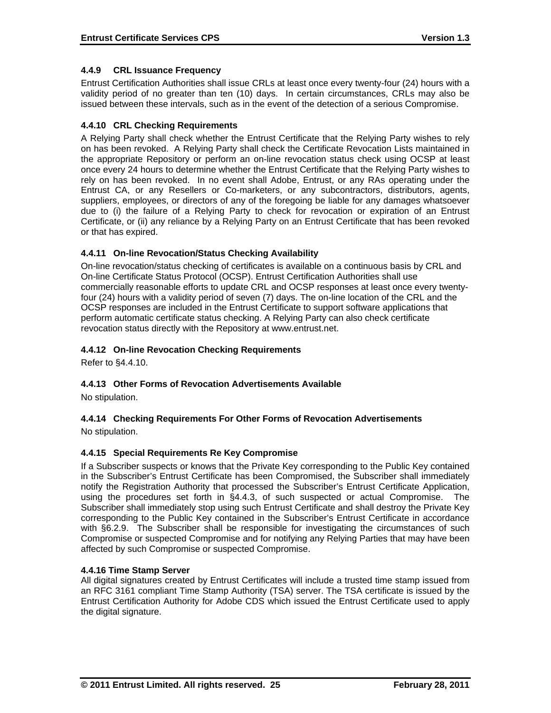# **4.4.9 CRL Issuance Frequency**

Entrust Certification Authorities shall issue CRLs at least once every twenty-four (24) hours with a validity period of no greater than ten (10) days. In certain circumstances, CRLs may also be issued between these intervals, such as in the event of the detection of a serious Compromise.

# **4.4.10 CRL Checking Requirements**

A Relying Party shall check whether the Entrust Certificate that the Relying Party wishes to rely on has been revoked. A Relying Party shall check the Certificate Revocation Lists maintained in the appropriate Repository or perform an on-line revocation status check using OCSP at least once every 24 hours to determine whether the Entrust Certificate that the Relying Party wishes to rely on has been revoked. In no event shall Adobe, Entrust, or any RAs operating under the Entrust CA, or any Resellers or Co-marketers, or any subcontractors, distributors, agents, suppliers, employees, or directors of any of the foregoing be liable for any damages whatsoever due to (i) the failure of a Relying Party to check for revocation or expiration of an Entrust Certificate, or (ii) any reliance by a Relying Party on an Entrust Certificate that has been revoked or that has expired.

# **4.4.11 On-line Revocation/Status Checking Availability**

On-line revocation/status checking of certificates is available on a continuous basis by CRL and On-line Certificate Status Protocol (OCSP). Entrust Certification Authorities shall use commercially reasonable efforts to update CRL and OCSP responses at least once every twentyfour (24) hours with a validity period of seven (7) days. The on-line location of the CRL and the OCSP responses are included in the Entrust Certificate to support software applications that perform automatic certificate status checking. A Relying Party can also check certificate revocation status directly with the Repository at www.entrust.net.

# **4.4.12 On-line Revocation Checking Requirements**

Refer to §4.4.10.

# **4.4.13 Other Forms of Revocation Advertisements Available**

No stipulation.

# **4.4.14 Checking Requirements For Other Forms of Revocation Advertisements**

No stipulation.

# **4.4.15 Special Requirements Re Key Compromise**

If a Subscriber suspects or knows that the Private Key corresponding to the Public Key contained in the Subscriber's Entrust Certificate has been Compromised, the Subscriber shall immediately notify the Registration Authority that processed the Subscriber's Entrust Certificate Application, using the procedures set forth in §4.4.3, of such suspected or actual Compromise. The Subscriber shall immediately stop using such Entrust Certificate and shall destroy the Private Key corresponding to the Public Key contained in the Subscriber's Entrust Certificate in accordance with §6.2.9. The Subscriber shall be responsible for investigating the circumstances of such Compromise or suspected Compromise and for notifying any Relying Parties that may have been affected by such Compromise or suspected Compromise.

### **4.4.16 Time Stamp Server**

All digital signatures created by Entrust Certificates will include a trusted time stamp issued from an RFC 3161 compliant Time Stamp Authority (TSA) server. The TSA certificate is issued by the Entrust Certification Authority for Adobe CDS which issued the Entrust Certificate used to apply the digital signature.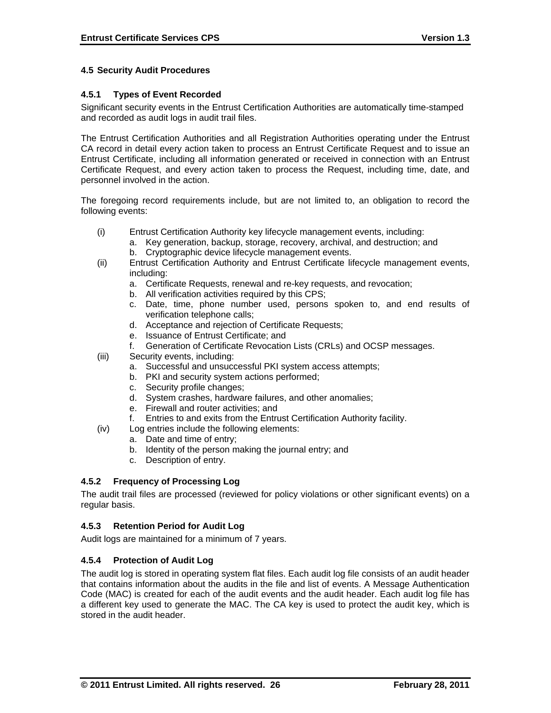### **4.5 Security Audit Procedures**

#### **4.5.1 Types of Event Recorded**

Significant security events in the Entrust Certification Authorities are automatically time-stamped and recorded as audit logs in audit trail files.

The Entrust Certification Authorities and all Registration Authorities operating under the Entrust CA record in detail every action taken to process an Entrust Certificate Request and to issue an Entrust Certificate, including all information generated or received in connection with an Entrust Certificate Request, and every action taken to process the Request, including time, date, and personnel involved in the action.

The foregoing record requirements include, but are not limited to, an obligation to record the following events:

- (i) Entrust Certification Authority key lifecycle management events, including:
	- a. Key generation, backup, storage, recovery, archival, and destruction; and b. Cryptographic device lifecycle management events.
- (ii) Entrust Certification Authority and Entrust Certificate lifecycle management events, including:
	- a. Certificate Requests, renewal and re-key requests, and revocation;
	- b. All verification activities required by this CPS;
	- c. Date, time, phone number used, persons spoken to, and end results of verification telephone calls;
	- d. Acceptance and rejection of Certificate Requests;
	- e. Issuance of Entrust Certificate; and
	- f. Generation of Certificate Revocation Lists (CRLs) and OCSP messages.
- (iii) Security events, including:
	- a. Successful and unsuccessful PKI system access attempts;
	- b. PKI and security system actions performed;
	- c. Security profile changes;
	- d. System crashes, hardware failures, and other anomalies;
	- e. Firewall and router activities; and<br>f. Entries to and exits from the Entru
	- Entries to and exits from the Entrust Certification Authority facility.
- (iv) Log entries include the following elements:
	- a. Date and time of entry;
		- b. Identity of the person making the journal entry; and
		- c. Description of entry.

### **4.5.2 Frequency of Processing Log**

The audit trail files are processed (reviewed for policy violations or other significant events) on a regular basis.

#### **4.5.3 Retention Period for Audit Log**

Audit logs are maintained for a minimum of 7 years.

#### **4.5.4 Protection of Audit Log**

The audit log is stored in operating system flat files. Each audit log file consists of an audit header that contains information about the audits in the file and list of events. A Message Authentication Code (MAC) is created for each of the audit events and the audit header. Each audit log file has a different key used to generate the MAC. The CA key is used to protect the audit key, which is stored in the audit header.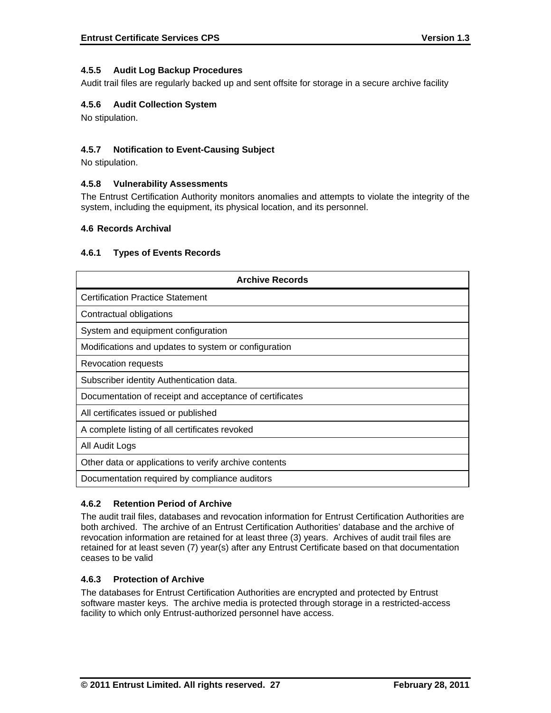# **4.5.5 Audit Log Backup Procedures**

Audit trail files are regularly backed up and sent offsite for storage in a secure archive facility

### **4.5.6 Audit Collection System**

No stipulation.

### **4.5.7 Notification to Event-Causing Subject**

No stipulation.

### **4.5.8 Vulnerability Assessments**

The Entrust Certification Authority monitors anomalies and attempts to violate the integrity of the system, including the equipment, its physical location, and its personnel.

#### **4.6 Records Archival**

#### **4.6.1 Types of Events Records**

| <b>Archive Records</b>                                  |
|---------------------------------------------------------|
| <b>Certification Practice Statement</b>                 |
| Contractual obligations                                 |
| System and equipment configuration                      |
| Modifications and updates to system or configuration    |
| Revocation requests                                     |
| Subscriber identity Authentication data.                |
| Documentation of receipt and acceptance of certificates |
| All certificates issued or published                    |
| A complete listing of all certificates revoked          |
| All Audit Logs                                          |
| Other data or applications to verify archive contents   |
| Documentation required by compliance auditors           |

### **4.6.2 Retention Period of Archive**

The audit trail files, databases and revocation information for Entrust Certification Authorities are both archived. The archive of an Entrust Certification Authorities' database and the archive of revocation information are retained for at least three (3) years. Archives of audit trail files are retained for at least seven (7) year(s) after any Entrust Certificate based on that documentation ceases to be valid

#### **4.6.3 Protection of Archive**

The databases for Entrust Certification Authorities are encrypted and protected by Entrust software master keys. The archive media is protected through storage in a restricted-access facility to which only Entrust-authorized personnel have access.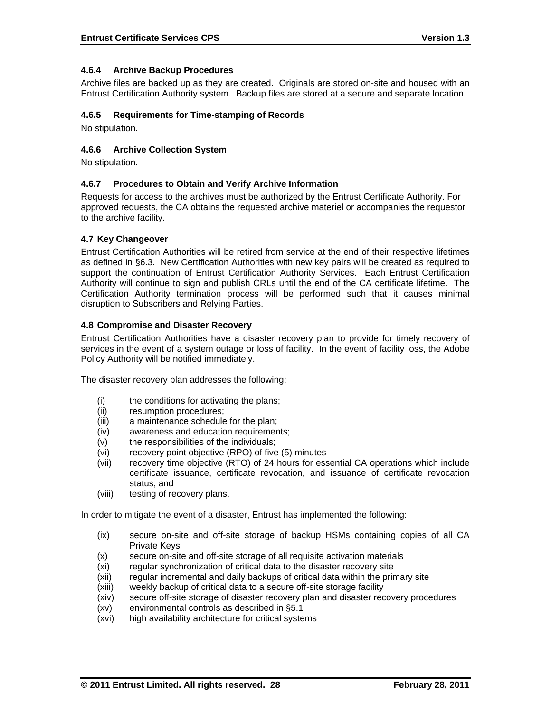### **4.6.4 Archive Backup Procedures**

Archive files are backed up as they are created. Originals are stored on-site and housed with an Entrust Certification Authority system. Backup files are stored at a secure and separate location.

#### **4.6.5 Requirements for Time-stamping of Records**

No stipulation.

### **4.6.6 Archive Collection System**

No stipulation.

### **4.6.7 Procedures to Obtain and Verify Archive Information**

Requests for access to the archives must be authorized by the Entrust Certificate Authority. For approved requests, the CA obtains the requested archive materiel or accompanies the requestor to the archive facility.

#### **4.7 Key Changeover**

Entrust Certification Authorities will be retired from service at the end of their respective lifetimes as defined in §6.3. New Certification Authorities with new key pairs will be created as required to support the continuation of Entrust Certification Authority Services. Each Entrust Certification Authority will continue to sign and publish CRLs until the end of the CA certificate lifetime. The Certification Authority termination process will be performed such that it causes minimal disruption to Subscribers and Relying Parties.

#### **4.8 Compromise and Disaster Recovery**

Entrust Certification Authorities have a disaster recovery plan to provide for timely recovery of services in the event of a system outage or loss of facility. In the event of facility loss, the Adobe Policy Authority will be notified immediately.

The disaster recovery plan addresses the following:

- (i) the conditions for activating the plans;
- (ii) resumption procedures;
- (iii) a maintenance schedule for the plan;
- (iv) awareness and education requirements;
- (v) the responsibilities of the individuals;
- (vi) recovery point objective (RPO) of five (5) minutes
- (vii) recovery time objective (RTO) of 24 hours for essential CA operations which include certificate issuance, certificate revocation, and issuance of certificate revocation status; and
- (viii) testing of recovery plans.

In order to mitigate the event of a disaster, Entrust has implemented the following:

- (ix) secure on-site and off-site storage of backup HSMs containing copies of all CA Private Keys
- (x) secure on-site and off-site storage of all requisite activation materials
- (xi) regular synchronization of critical data to the disaster recovery site
- (xii) regular incremental and daily backups of critical data within the primary site
- (xiii) weekly backup of critical data to a secure off-site storage facility
- (xiv) secure off-site storage of disaster recovery plan and disaster recovery procedures
- (xv) environmental controls as described in §5.1
- (xvi) high availability architecture for critical systems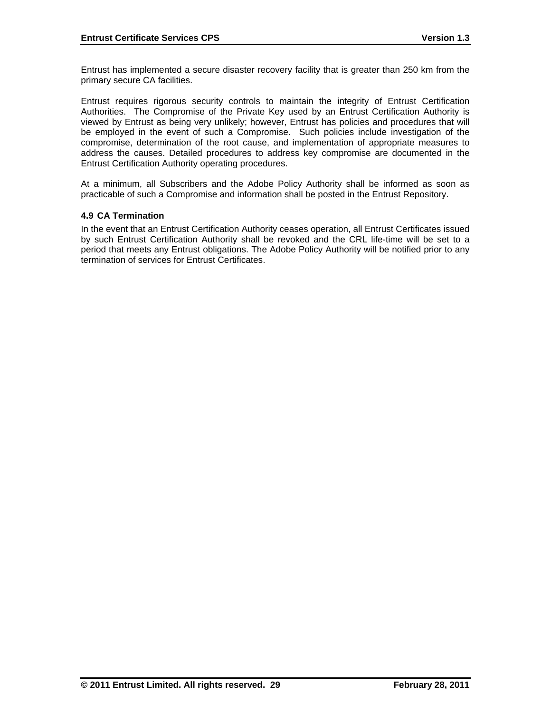Entrust has implemented a secure disaster recovery facility that is greater than 250 km from the primary secure CA facilities.

Entrust requires rigorous security controls to maintain the integrity of Entrust Certification Authorities. The Compromise of the Private Key used by an Entrust Certification Authority is viewed by Entrust as being very unlikely; however, Entrust has policies and procedures that will be employed in the event of such a Compromise. Such policies include investigation of the compromise, determination of the root cause, and implementation of appropriate measures to address the causes. Detailed procedures to address key compromise are documented in the Entrust Certification Authority operating procedures.

At a minimum, all Subscribers and the Adobe Policy Authority shall be informed as soon as practicable of such a Compromise and information shall be posted in the Entrust Repository.

### **4.9 CA Termination**

In the event that an Entrust Certification Authority ceases operation, all Entrust Certificates issued by such Entrust Certification Authority shall be revoked and the CRL life-time will be set to a period that meets any Entrust obligations. The Adobe Policy Authority will be notified prior to any termination of services for Entrust Certificates.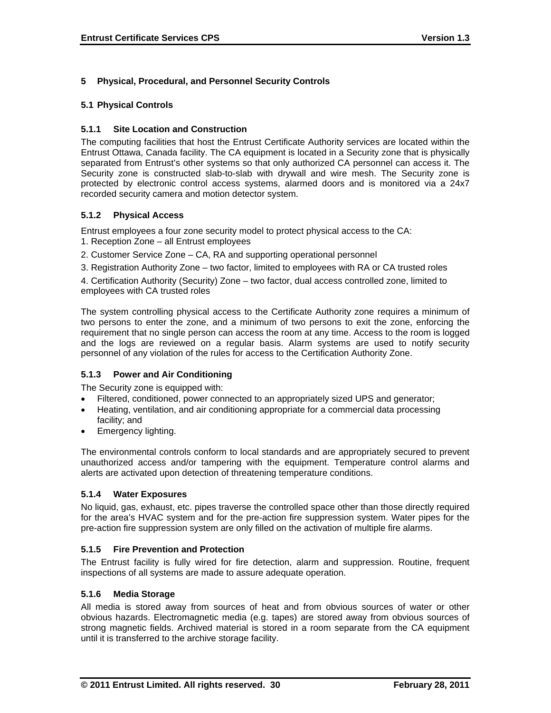# **5 Physical, Procedural, and Personnel Security Controls**

### **5.1 Physical Controls**

# **5.1.1 Site Location and Construction**

The computing facilities that host the Entrust Certificate Authority services are located within the Entrust Ottawa, Canada facility. The CA equipment is located in a Security zone that is physically separated from Entrust's other systems so that only authorized CA personnel can access it. The Security zone is constructed slab-to-slab with drywall and wire mesh. The Security zone is protected by electronic control access systems, alarmed doors and is monitored via a 24x7 recorded security camera and motion detector system.

# **5.1.2 Physical Access**

Entrust employees a four zone security model to protect physical access to the CA:

- 1. Reception Zone all Entrust employees
- 2. Customer Service Zone CA, RA and supporting operational personnel
- 3. Registration Authority Zone two factor, limited to employees with RA or CA trusted roles

4. Certification Authority (Security) Zone – two factor, dual access controlled zone, limited to employees with CA trusted roles

The system controlling physical access to the Certificate Authority zone requires a minimum of two persons to enter the zone, and a minimum of two persons to exit the zone, enforcing the requirement that no single person can access the room at any time. Access to the room is logged and the logs are reviewed on a regular basis. Alarm systems are used to notify security personnel of any violation of the rules for access to the Certification Authority Zone.

### **5.1.3 Power and Air Conditioning**

The Security zone is equipped with:

- Filtered, conditioned, power connected to an appropriately sized UPS and generator;
- Heating, ventilation, and air conditioning appropriate for a commercial data processing facility; and
- Emergency lighting.

The environmental controls conform to local standards and are appropriately secured to prevent unauthorized access and/or tampering with the equipment. Temperature control alarms and alerts are activated upon detection of threatening temperature conditions.

### **5.1.4 Water Exposures**

No liquid, gas, exhaust, etc. pipes traverse the controlled space other than those directly required for the area's HVAC system and for the pre-action fire suppression system. Water pipes for the pre-action fire suppression system are only filled on the activation of multiple fire alarms.

### **5.1.5 Fire Prevention and Protection**

The Entrust facility is fully wired for fire detection, alarm and suppression. Routine, frequent inspections of all systems are made to assure adequate operation.

### **5.1.6 Media Storage**

All media is stored away from sources of heat and from obvious sources of water or other obvious hazards. Electromagnetic media (e.g. tapes) are stored away from obvious sources of strong magnetic fields. Archived material is stored in a room separate from the CA equipment until it is transferred to the archive storage facility.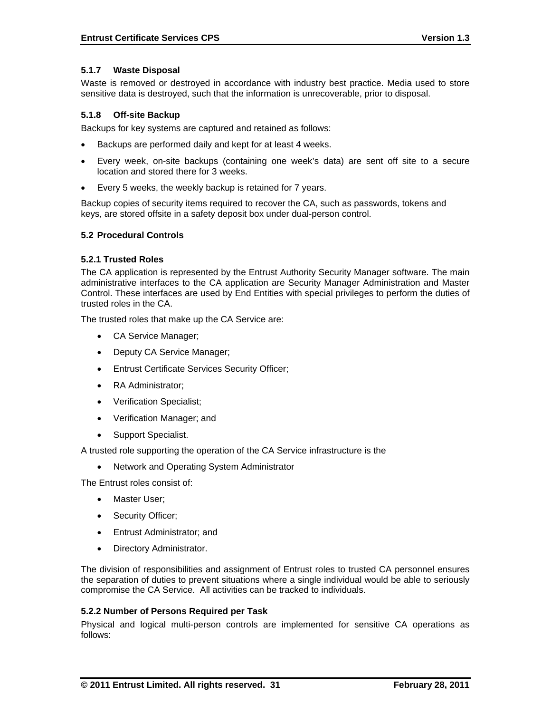#### **5.1.7 Waste Disposal**

Waste is removed or destroyed in accordance with industry best practice. Media used to store sensitive data is destroyed, such that the information is unrecoverable, prior to disposal.

#### **5.1.8 Off-site Backup**

Backups for key systems are captured and retained as follows:

- Backups are performed daily and kept for at least 4 weeks.
- Every week, on-site backups (containing one week's data) are sent off site to a secure location and stored there for 3 weeks.
- Every 5 weeks, the weekly backup is retained for 7 years.

Backup copies of security items required to recover the CA, such as passwords, tokens and keys, are stored offsite in a safety deposit box under dual-person control.

#### **5.2 Procedural Controls**

#### **5.2.1 Trusted Roles**

The CA application is represented by the Entrust Authority Security Manager software. The main administrative interfaces to the CA application are Security Manager Administration and Master Control. These interfaces are used by End Entities with special privileges to perform the duties of trusted roles in the CA.

The trusted roles that make up the CA Service are:

- CA Service Manager;
- Deputy CA Service Manager;
- Entrust Certificate Services Security Officer;
- RA Administrator:
- Verification Specialist;
- Verification Manager; and
- Support Specialist.

A trusted role supporting the operation of the CA Service infrastructure is the

• Network and Operating System Administrator

The Entrust roles consist of:

- Master User:
- Security Officer;
- Entrust Administrator; and
- Directory Administrator.

The division of responsibilities and assignment of Entrust roles to trusted CA personnel ensures the separation of duties to prevent situations where a single individual would be able to seriously compromise the CA Service. All activities can be tracked to individuals.

#### **5.2.2 Number of Persons Required per Task**

Physical and logical multi-person controls are implemented for sensitive CA operations as follows: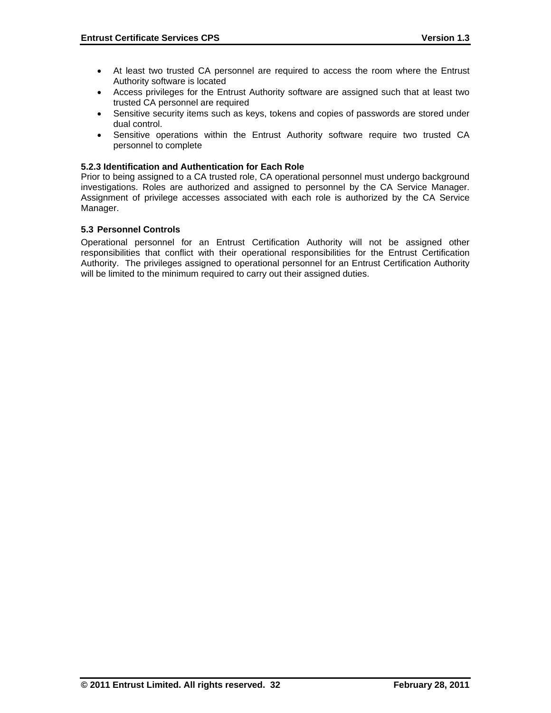- At least two trusted CA personnel are required to access the room where the Entrust Authority software is located
- Access privileges for the Entrust Authority software are assigned such that at least two trusted CA personnel are required
- Sensitive security items such as keys, tokens and copies of passwords are stored under dual control.
- Sensitive operations within the Entrust Authority software require two trusted CA personnel to complete

#### **5.2.3 Identification and Authentication for Each Role**

Prior to being assigned to a CA trusted role, CA operational personnel must undergo background investigations. Roles are authorized and assigned to personnel by the CA Service Manager. Assignment of privilege accesses associated with each role is authorized by the CA Service Manager.

#### **5.3 Personnel Controls**

Operational personnel for an Entrust Certification Authority will not be assigned other responsibilities that conflict with their operational responsibilities for the Entrust Certification Authority. The privileges assigned to operational personnel for an Entrust Certification Authority will be limited to the minimum required to carry out their assigned duties.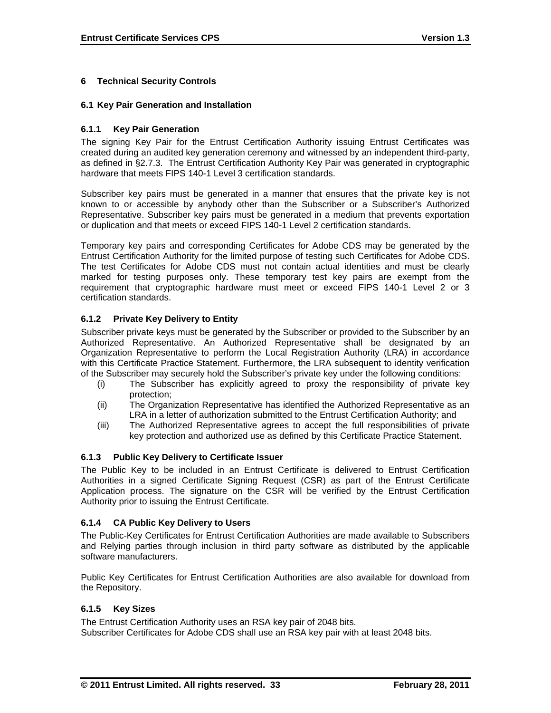# **6 Technical Security Controls**

#### **6.1 Key Pair Generation and Installation**

#### **6.1.1 Key Pair Generation**

The signing Key Pair for the Entrust Certification Authority issuing Entrust Certificates was created during an audited key generation ceremony and witnessed by an independent third-party, as defined in §2.7.3. The Entrust Certification Authority Key Pair was generated in cryptographic hardware that meets FIPS 140-1 Level 3 certification standards.

Subscriber key pairs must be generated in a manner that ensures that the private key is not known to or accessible by anybody other than the Subscriber or a Subscriber's Authorized Representative. Subscriber key pairs must be generated in a medium that prevents exportation or duplication and that meets or exceed FIPS 140-1 Level 2 certification standards.

Temporary key pairs and corresponding Certificates for Adobe CDS may be generated by the Entrust Certification Authority for the limited purpose of testing such Certificates for Adobe CDS. The test Certificates for Adobe CDS must not contain actual identities and must be clearly marked for testing purposes only. These temporary test key pairs are exempt from the requirement that cryptographic hardware must meet or exceed FIPS 140-1 Level 2 or 3 certification standards.

### **6.1.2 Private Key Delivery to Entity**

Subscriber private keys must be generated by the Subscriber or provided to the Subscriber by an Authorized Representative. An Authorized Representative shall be designated by an Organization Representative to perform the Local Registration Authority (LRA) in accordance with this Certificate Practice Statement. Furthermore, the LRA subsequent to identity verification of the Subscriber may securely hold the Subscriber's private key under the following conditions:

- (i) The Subscriber has explicitly agreed to proxy the responsibility of private key protection;
- (ii) The Organization Representative has identified the Authorized Representative as an LRA in a letter of authorization submitted to the Entrust Certification Authority; and
- (iii) The Authorized Representative agrees to accept the full responsibilities of private key protection and authorized use as defined by this Certificate Practice Statement.

### **6.1.3 Public Key Delivery to Certificate Issuer**

The Public Key to be included in an Entrust Certificate is delivered to Entrust Certification Authorities in a signed Certificate Signing Request (CSR) as part of the Entrust Certificate Application process. The signature on the CSR will be verified by the Entrust Certification Authority prior to issuing the Entrust Certificate.

### **6.1.4 CA Public Key Delivery to Users**

The Public-Key Certificates for Entrust Certification Authorities are made available to Subscribers and Relying parties through inclusion in third party software as distributed by the applicable software manufacturers.

Public Key Certificates for Entrust Certification Authorities are also available for download from the Repository.

### **6.1.5 Key Sizes**

The Entrust Certification Authority uses an RSA key pair of 2048 bits. Subscriber Certificates for Adobe CDS shall use an RSA key pair with at least 2048 bits.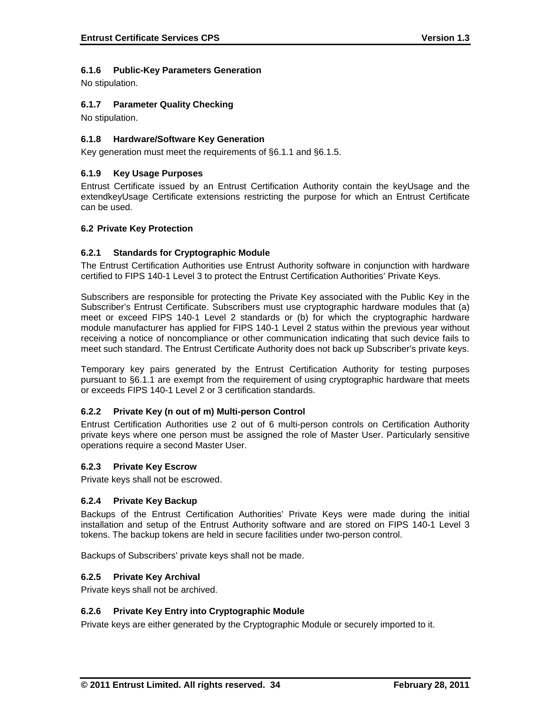# **6.1.6 Public-Key Parameters Generation**

No stipulation.

# **6.1.7 Parameter Quality Checking**

No stipulation.

# **6.1.8 Hardware/Software Key Generation**

Key generation must meet the requirements of §6.1.1 and §6.1.5.

# **6.1.9 Key Usage Purposes**

Entrust Certificate issued by an Entrust Certification Authority contain the keyUsage and the extendkeyUsage Certificate extensions restricting the purpose for which an Entrust Certificate can be used.

#### **6.2 Private Key Protection**

#### **6.2.1 Standards for Cryptographic Module**

The Entrust Certification Authorities use Entrust Authority software in conjunction with hardware certified to FIPS 140-1 Level 3 to protect the Entrust Certification Authorities' Private Keys.

Subscribers are responsible for protecting the Private Key associated with the Public Key in the Subscriber's Entrust Certificate. Subscribers must use cryptographic hardware modules that (a) meet or exceed FIPS 140-1 Level 2 standards or (b) for which the cryptographic hardware module manufacturer has applied for FIPS 140-1 Level 2 status within the previous year without receiving a notice of noncompliance or other communication indicating that such device fails to meet such standard. The Entrust Certificate Authority does not back up Subscriber's private keys.

Temporary key pairs generated by the Entrust Certification Authority for testing purposes pursuant to §6.1.1 are exempt from the requirement of using cryptographic hardware that meets or exceeds FIPS 140-1 Level 2 or 3 certification standards.

### **6.2.2 Private Key (n out of m) Multi-person Control**

Entrust Certification Authorities use 2 out of 6 multi-person controls on Certification Authority private keys where one person must be assigned the role of Master User. Particularly sensitive operations require a second Master User.

#### **6.2.3 Private Key Escrow**

Private keys shall not be escrowed.

#### **6.2.4 Private Key Backup**

Backups of the Entrust Certification Authorities' Private Keys were made during the initial installation and setup of the Entrust Authority software and are stored on FIPS 140-1 Level 3 tokens. The backup tokens are held in secure facilities under two-person control.

Backups of Subscribers' private keys shall not be made.

#### **6.2.5 Private Key Archival**

Private keys shall not be archived.

### **6.2.6 Private Key Entry into Cryptographic Module**

Private keys are either generated by the Cryptographic Module or securely imported to it.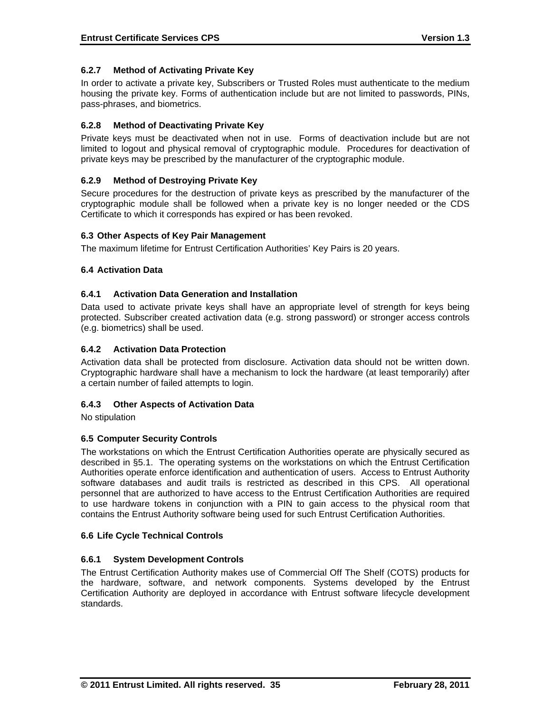# **6.2.7 Method of Activating Private Key**

In order to activate a private key, Subscribers or Trusted Roles must authenticate to the medium housing the private key. Forms of authentication include but are not limited to passwords, PINs, pass-phrases, and biometrics.

### **6.2.8 Method of Deactivating Private Key**

Private keys must be deactivated when not in use. Forms of deactivation include but are not limited to logout and physical removal of cryptographic module. Procedures for deactivation of private keys may be prescribed by the manufacturer of the cryptographic module.

# **6.2.9 Method of Destroying Private Key**

Secure procedures for the destruction of private keys as prescribed by the manufacturer of the cryptographic module shall be followed when a private key is no longer needed or the CDS Certificate to which it corresponds has expired or has been revoked.

# **6.3 Other Aspects of Key Pair Management**

The maximum lifetime for Entrust Certification Authorities' Key Pairs is 20 years.

### **6.4 Activation Data**

### **6.4.1 Activation Data Generation and Installation**

Data used to activate private keys shall have an appropriate level of strength for keys being protected. Subscriber created activation data (e.g. strong password) or stronger access controls (e.g. biometrics) shall be used.

#### **6.4.2 Activation Data Protection**

Activation data shall be protected from disclosure. Activation data should not be written down. Cryptographic hardware shall have a mechanism to lock the hardware (at least temporarily) after a certain number of failed attempts to login.

### **6.4.3 Other Aspects of Activation Data**

No stipulation

### **6.5 Computer Security Controls**

The workstations on which the Entrust Certification Authorities operate are physically secured as described in §5.1. The operating systems on the workstations on which the Entrust Certification Authorities operate enforce identification and authentication of users. Access to Entrust Authority software databases and audit trails is restricted as described in this CPS. All operational personnel that are authorized to have access to the Entrust Certification Authorities are required to use hardware tokens in conjunction with a PIN to gain access to the physical room that contains the Entrust Authority software being used for such Entrust Certification Authorities.

#### **6.6 Life Cycle Technical Controls**

### **6.6.1 System Development Controls**

The Entrust Certification Authority makes use of Commercial Off The Shelf (COTS) products for the hardware, software, and network components. Systems developed by the Entrust Certification Authority are deployed in accordance with Entrust software lifecycle development standards.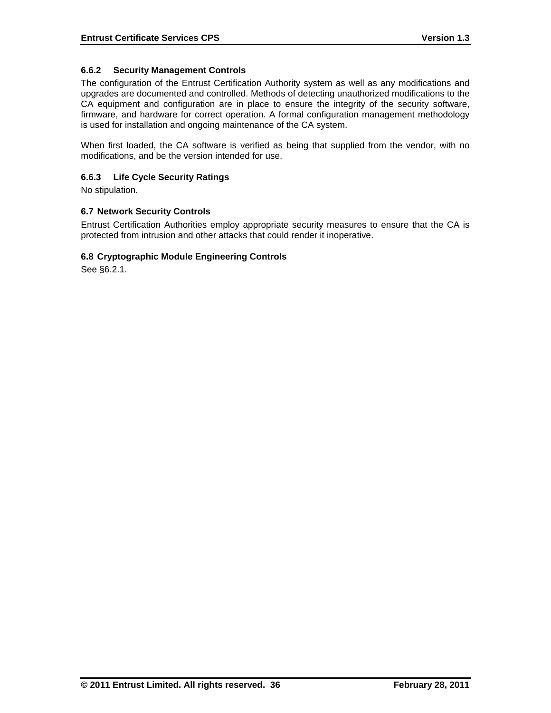### **6.6.2 Security Management Controls**

The configuration of the Entrust Certification Authority system as well as any modifications and upgrades are documented and controlled. Methods of detecting unauthorized modifications to the CA equipment and configuration are in place to ensure the integrity of the security software, firmware, and hardware for correct operation. A formal configuration management methodology is used for installation and ongoing maintenance of the CA system.

When first loaded, the CA software is verified as being that supplied from the vendor, with no modifications, and be the version intended for use.

#### **6.6.3 Life Cycle Security Ratings**

No stipulation.

### **6.7 Network Security Controls**

Entrust Certification Authorities employ appropriate security measures to ensure that the CA is protected from intrusion and other attacks that could render it inoperative.

#### **6.8 Cryptographic Module Engineering Controls**

See §6.2.1.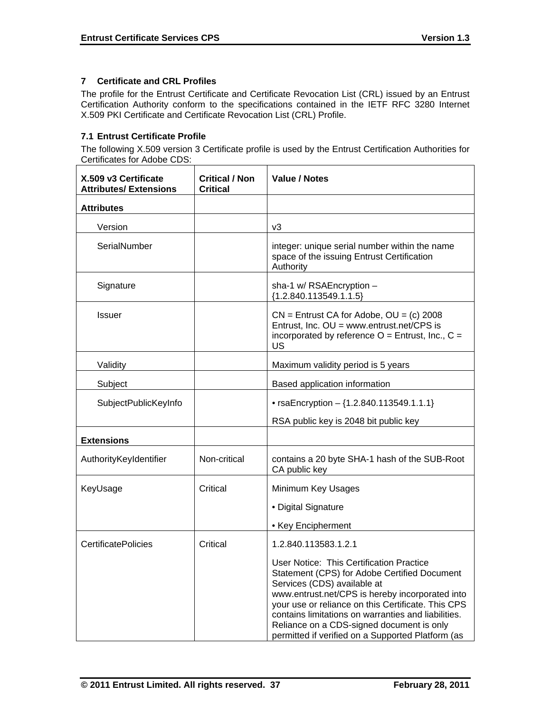# **7 Certificate and CRL Profiles**

The profile for the Entrust Certificate and Certificate Revocation List (CRL) issued by an Entrust Certification Authority conform to the specifications contained in the IETF RFC 3280 Internet X.509 PKI Certificate and Certificate Revocation List (CRL) Profile.

# **7.1 Entrust Certificate Profile**

The following X.509 version 3 Certificate profile is used by the Entrust Certification Authorities for Certificates for Adobe CDS:

| X.509 v3 Certificate<br><b>Attributes/ Extensions</b> | <b>Critical / Non</b><br><b>Critical</b> | <b>Value / Notes</b>                                                                                                                                                                                                                                                                                                                                                                      |  |
|-------------------------------------------------------|------------------------------------------|-------------------------------------------------------------------------------------------------------------------------------------------------------------------------------------------------------------------------------------------------------------------------------------------------------------------------------------------------------------------------------------------|--|
| <b>Attributes</b>                                     |                                          |                                                                                                                                                                                                                                                                                                                                                                                           |  |
| Version                                               |                                          | v3                                                                                                                                                                                                                                                                                                                                                                                        |  |
| SerialNumber                                          |                                          | integer: unique serial number within the name<br>space of the issuing Entrust Certification<br>Authority                                                                                                                                                                                                                                                                                  |  |
| Signature                                             |                                          | sha-1 w/ RSAEncryption -<br>${1.2.840.113549.1.1.5}$                                                                                                                                                                                                                                                                                                                                      |  |
| <b>Issuer</b>                                         |                                          | $CN =$ Entrust CA for Adobe, $OU = (c)$ 2008<br>Entrust, Inc. OU = www.entrust.net/CPS is<br>incorporated by reference $O =$ Entrust, Inc., $C =$<br>US                                                                                                                                                                                                                                   |  |
| Validity                                              |                                          | Maximum validity period is 5 years                                                                                                                                                                                                                                                                                                                                                        |  |
| Subject                                               |                                          | Based application information                                                                                                                                                                                                                                                                                                                                                             |  |
| SubjectPublicKeyInfo                                  |                                          | • rsaEncryption $-$ {1.2.840.113549.1.1.1}                                                                                                                                                                                                                                                                                                                                                |  |
|                                                       |                                          | RSA public key is 2048 bit public key                                                                                                                                                                                                                                                                                                                                                     |  |
| <b>Extensions</b>                                     |                                          |                                                                                                                                                                                                                                                                                                                                                                                           |  |
| AuthorityKeyIdentifier                                | Non-critical                             | contains a 20 byte SHA-1 hash of the SUB-Root<br>CA public key                                                                                                                                                                                                                                                                                                                            |  |
| KeyUsage                                              | Critical                                 | Minimum Key Usages                                                                                                                                                                                                                                                                                                                                                                        |  |
|                                                       |                                          | • Digital Signature                                                                                                                                                                                                                                                                                                                                                                       |  |
|                                                       |                                          | • Key Encipherment                                                                                                                                                                                                                                                                                                                                                                        |  |
| <b>CertificatePolicies</b>                            | Critical                                 | 1.2.840.113583.1.2.1                                                                                                                                                                                                                                                                                                                                                                      |  |
|                                                       |                                          | User Notice: This Certification Practice<br>Statement (CPS) for Adobe Certified Document<br>Services (CDS) available at<br>www.entrust.net/CPS is hereby incorporated into<br>your use or reliance on this Certificate. This CPS<br>contains limitations on warranties and liabilities.<br>Reliance on a CDS-signed document is only<br>permitted if verified on a Supported Platform (as |  |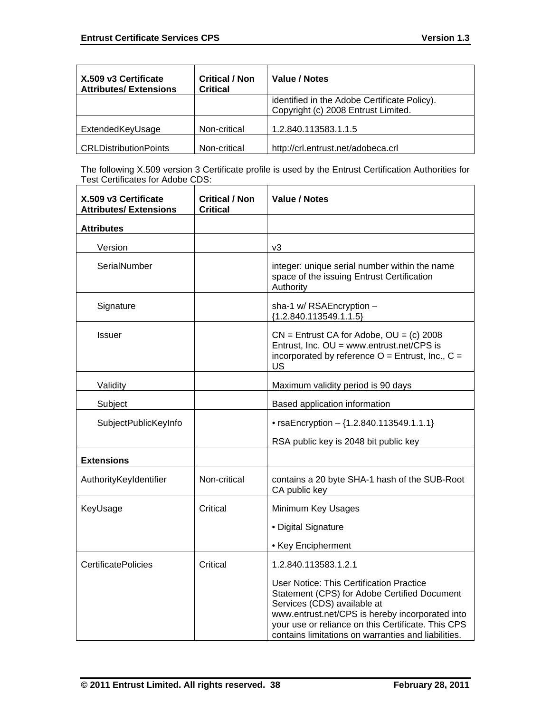| X.509 v3 Certificate<br><b>Attributes/Extensions</b> | <b>Critical / Non</b><br><b>Critical</b> | Value / Notes                                                                       |
|------------------------------------------------------|------------------------------------------|-------------------------------------------------------------------------------------|
|                                                      |                                          | identified in the Adobe Certificate Policy).<br>Copyright (c) 2008 Entrust Limited. |
| ExtendedKeyUsage                                     | Non-critical                             | 1.2.840.113583.1.1.5                                                                |
| <b>CRLDistributionPoints</b>                         | Non-critical                             | http://crl.entrust.net/adobeca.crl                                                  |

The following X.509 version 3 Certificate profile is used by the Entrust Certification Authorities for Test Certificates for Adobe CDS:

| X.509 v3 Certificate<br><b>Attributes/ Extensions</b> | <b>Critical / Non</b><br><b>Critical</b> | <b>Value / Notes</b>                                                                                                                                                                                                                                                                           |  |
|-------------------------------------------------------|------------------------------------------|------------------------------------------------------------------------------------------------------------------------------------------------------------------------------------------------------------------------------------------------------------------------------------------------|--|
| <b>Attributes</b>                                     |                                          |                                                                                                                                                                                                                                                                                                |  |
| Version                                               |                                          | v3                                                                                                                                                                                                                                                                                             |  |
| SerialNumber                                          |                                          | integer: unique serial number within the name<br>space of the issuing Entrust Certification<br>Authority                                                                                                                                                                                       |  |
| Signature                                             |                                          | sha-1 w/ RSAEncryption -<br>${1.2.840.113549.1.1.5}$                                                                                                                                                                                                                                           |  |
| <b>Issuer</b>                                         |                                          | $CN =$ Entrust CA for Adobe, $OU = (c)$ 2008<br>Entrust, Inc. OU = www.entrust.net/CPS is<br>incorporated by reference $O =$ Entrust, Inc., $C =$<br>US                                                                                                                                        |  |
| Validity                                              |                                          | Maximum validity period is 90 days                                                                                                                                                                                                                                                             |  |
| Subject                                               |                                          | Based application information                                                                                                                                                                                                                                                                  |  |
| SubjectPublicKeyInfo                                  |                                          | • rsaEncryption $-$ {1.2.840.113549.1.1.1}                                                                                                                                                                                                                                                     |  |
|                                                       |                                          | RSA public key is 2048 bit public key                                                                                                                                                                                                                                                          |  |
| <b>Extensions</b>                                     |                                          |                                                                                                                                                                                                                                                                                                |  |
| AuthorityKeyIdentifier                                | Non-critical                             | contains a 20 byte SHA-1 hash of the SUB-Root<br>CA public key                                                                                                                                                                                                                                 |  |
| KeyUsage                                              | Critical                                 | Minimum Key Usages                                                                                                                                                                                                                                                                             |  |
|                                                       |                                          | • Digital Signature                                                                                                                                                                                                                                                                            |  |
|                                                       |                                          | • Key Encipherment                                                                                                                                                                                                                                                                             |  |
| <b>CertificatePolicies</b>                            | Critical                                 | 1.2.840.113583.1.2.1                                                                                                                                                                                                                                                                           |  |
|                                                       |                                          | <b>User Notice: This Certification Practice</b><br>Statement (CPS) for Adobe Certified Document<br>Services (CDS) available at<br>www.entrust.net/CPS is hereby incorporated into<br>your use or reliance on this Certificate. This CPS<br>contains limitations on warranties and liabilities. |  |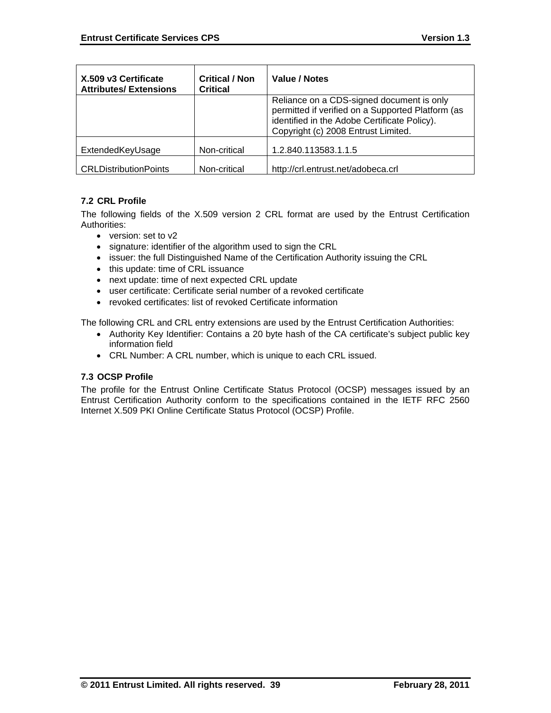| X.509 v3 Certificate<br><b>Attributes/Extensions</b> | <b>Critical / Non</b><br><b>Critical</b> | Value / Notes                                                                                                                                                                         |
|------------------------------------------------------|------------------------------------------|---------------------------------------------------------------------------------------------------------------------------------------------------------------------------------------|
|                                                      |                                          | Reliance on a CDS-signed document is only<br>permitted if verified on a Supported Platform (as<br>identified in the Adobe Certificate Policy).<br>Copyright (c) 2008 Entrust Limited. |
| ExtendedKeyUsage                                     | Non-critical                             | 1.2.840.113583.1.1.5                                                                                                                                                                  |
| <b>CRLDistributionPoints</b>                         | Non-critical                             | http://crl.entrust.net/adobeca.crl                                                                                                                                                    |

# **7.2 CRL Profile**

The following fields of the X.509 version 2 CRL format are used by the Entrust Certification Authorities:

- version: set to v2
- signature: identifier of the algorithm used to sign the CRL
- issuer: the full Distinguished Name of the Certification Authority issuing the CRL
- this update: time of CRL issuance
- next update: time of next expected CRL update
- user certificate: Certificate serial number of a revoked certificate
- revoked certificates: list of revoked Certificate information

The following CRL and CRL entry extensions are used by the Entrust Certification Authorities:

- Authority Key Identifier: Contains a 20 byte hash of the CA certificate's subject public key information field
- CRL Number: A CRL number, which is unique to each CRL issued.

### **7.3 OCSP Profile**

The profile for the Entrust Online Certificate Status Protocol (OCSP) messages issued by an Entrust Certification Authority conform to the specifications contained in the IETF RFC 2560 Internet X.509 PKI Online Certificate Status Protocol (OCSP) Profile.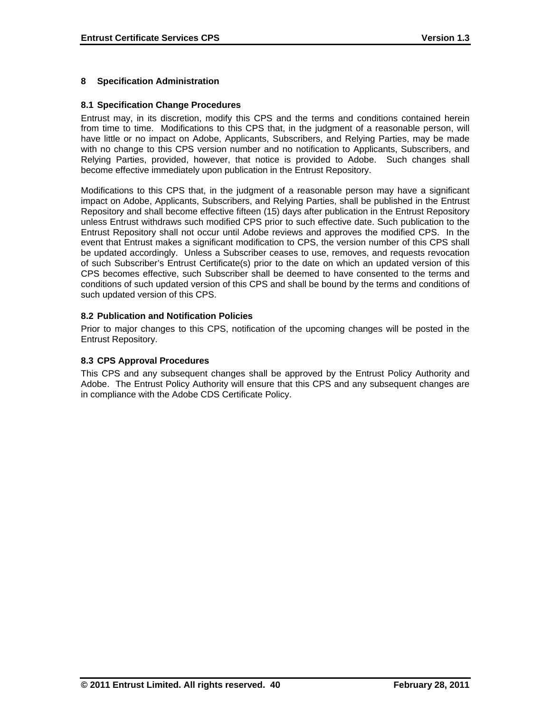# **8 Specification Administration**

#### **8.1 Specification Change Procedures**

Entrust may, in its discretion, modify this CPS and the terms and conditions contained herein from time to time. Modifications to this CPS that, in the judgment of a reasonable person, will have little or no impact on Adobe, Applicants, Subscribers, and Relying Parties, may be made with no change to this CPS version number and no notification to Applicants, Subscribers, and Relying Parties, provided, however, that notice is provided to Adobe. Such changes shall become effective immediately upon publication in the Entrust Repository.

Modifications to this CPS that, in the judgment of a reasonable person may have a significant impact on Adobe, Applicants, Subscribers, and Relying Parties, shall be published in the Entrust Repository and shall become effective fifteen (15) days after publication in the Entrust Repository unless Entrust withdraws such modified CPS prior to such effective date. Such publication to the Entrust Repository shall not occur until Adobe reviews and approves the modified CPS. In the event that Entrust makes a significant modification to CPS, the version number of this CPS shall be updated accordingly. Unless a Subscriber ceases to use, removes, and requests revocation of such Subscriber's Entrust Certificate(s) prior to the date on which an updated version of this CPS becomes effective, such Subscriber shall be deemed to have consented to the terms and conditions of such updated version of this CPS and shall be bound by the terms and conditions of such updated version of this CPS.

#### **8.2 Publication and Notification Policies**

Prior to major changes to this CPS, notification of the upcoming changes will be posted in the Entrust Repository.

#### **8.3 CPS Approval Procedures**

This CPS and any subsequent changes shall be approved by the Entrust Policy Authority and Adobe. The Entrust Policy Authority will ensure that this CPS and any subsequent changes are in compliance with the Adobe CDS Certificate Policy.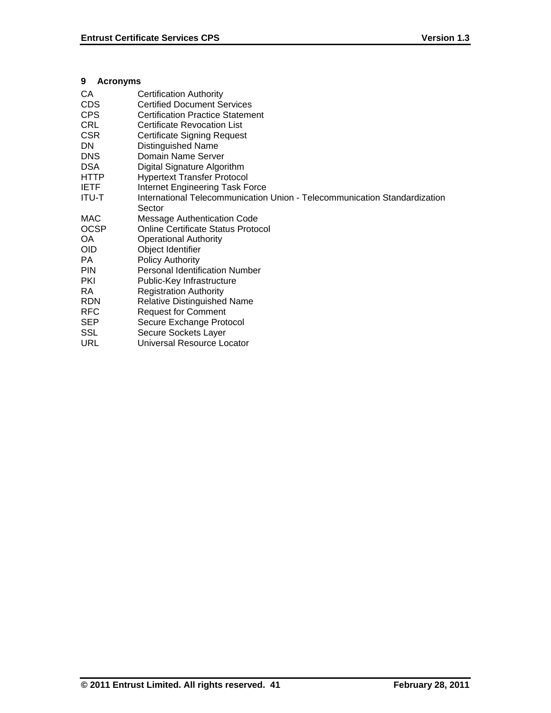# **9 Acronyms**

| CA           | Certification Authority                                                   |
|--------------|---------------------------------------------------------------------------|
| CDS.         | <b>Certified Document Services</b>                                        |
| <b>CPS</b>   | <b>Certification Practice Statement</b>                                   |
| <b>CRL</b>   | <b>Certificate Revocation List</b>                                        |
| <b>CSR</b>   | <b>Certificate Signing Request</b>                                        |
| <b>DN</b>    | <b>Distinguished Name</b>                                                 |
| <b>DNS</b>   | Domain Name Server                                                        |
| <b>DSA</b>   | Digital Signature Algorithm                                               |
| <b>HTTP</b>  | <b>Hypertext Transfer Protocol</b>                                        |
| <b>IETF</b>  | Internet Engineering Task Force                                           |
| <b>ITU-T</b> | International Telecommunication Union - Telecommunication Standardization |
|              | Sector                                                                    |
| MAC          | <b>Message Authentication Code</b>                                        |
| <b>OCSP</b>  | Online Certificate Status Protocol                                        |
| OA           | <b>Operational Authority</b>                                              |
| <b>OID</b>   | Object Identifier                                                         |
| PA           | Policy Authority                                                          |
| <b>PIN</b>   | <b>Personal Identification Number</b>                                     |
| <b>PKI</b>   | Public-Key Infrastructure                                                 |
| RA           | <b>Registration Authority</b>                                             |
| <b>RDN</b>   | <b>Relative Distinguished Name</b>                                        |
| <b>RFC</b>   | <b>Request for Comment</b>                                                |
| <b>SEP</b>   | Secure Exchange Protocol                                                  |
| SSL          | Secure Sockets Layer                                                      |
| URL          | Universal Resource Locator                                                |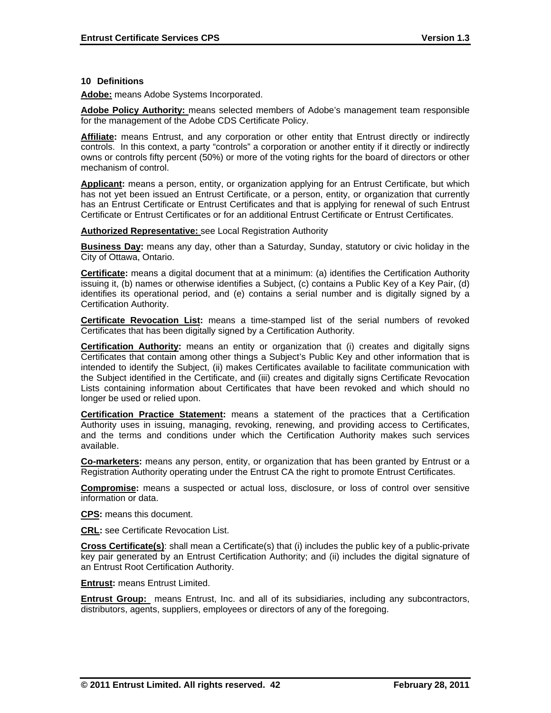#### **10 Definitions**

**Adobe:** means Adobe Systems Incorporated.

**Adobe Policy Authority:** means selected members of Adobe's management team responsible for the management of the Adobe CDS Certificate Policy.

**Affiliate:** means Entrust, and any corporation or other entity that Entrust directly or indirectly controls. In this context, a party "controls" a corporation or another entity if it directly or indirectly owns or controls fifty percent (50%) or more of the voting rights for the board of directors or other mechanism of control.

**Applicant:** means a person, entity, or organization applying for an Entrust Certificate, but which has not yet been issued an Entrust Certificate, or a person, entity, or organization that currently has an Entrust Certificate or Entrust Certificates and that is applying for renewal of such Entrust Certificate or Entrust Certificates or for an additional Entrust Certificate or Entrust Certificates.

#### **Authorized Representative:** see Local Registration Authority

**Business Day:** means any day, other than a Saturday, Sunday, statutory or civic holiday in the City of Ottawa, Ontario.

**Certificate:** means a digital document that at a minimum: (a) identifies the Certification Authority issuing it, (b) names or otherwise identifies a Subject, (c) contains a Public Key of a Key Pair, (d) identifies its operational period, and (e) contains a serial number and is digitally signed by a Certification Authority.

**Certificate Revocation List:** means a time-stamped list of the serial numbers of revoked Certificates that has been digitally signed by a Certification Authority.

**Certification Authority:** means an entity or organization that (i) creates and digitally signs Certificates that contain among other things a Subject's Public Key and other information that is intended to identify the Subject, (ii) makes Certificates available to facilitate communication with the Subject identified in the Certificate, and (iii) creates and digitally signs Certificate Revocation Lists containing information about Certificates that have been revoked and which should no longer be used or relied upon.

**Certification Practice Statement:** means a statement of the practices that a Certification Authority uses in issuing, managing, revoking, renewing, and providing access to Certificates, and the terms and conditions under which the Certification Authority makes such services available.

**Co-marketers:** means any person, entity, or organization that has been granted by Entrust or a Registration Authority operating under the Entrust CA the right to promote Entrust Certificates.

**Compromise:** means a suspected or actual loss, disclosure, or loss of control over sensitive information or data.

**CPS:** means this document.

**CRL:** see Certificate Revocation List.

**Cross Certificate(s)**: shall mean a Certificate(s) that (i) includes the public key of a public-private key pair generated by an Entrust Certification Authority; and (ii) includes the digital signature of an Entrust Root Certification Authority.

**Entrust:** means Entrust Limited.

**Entrust Group:** means Entrust, Inc. and all of its subsidiaries, including any subcontractors, distributors, agents, suppliers, employees or directors of any of the foregoing.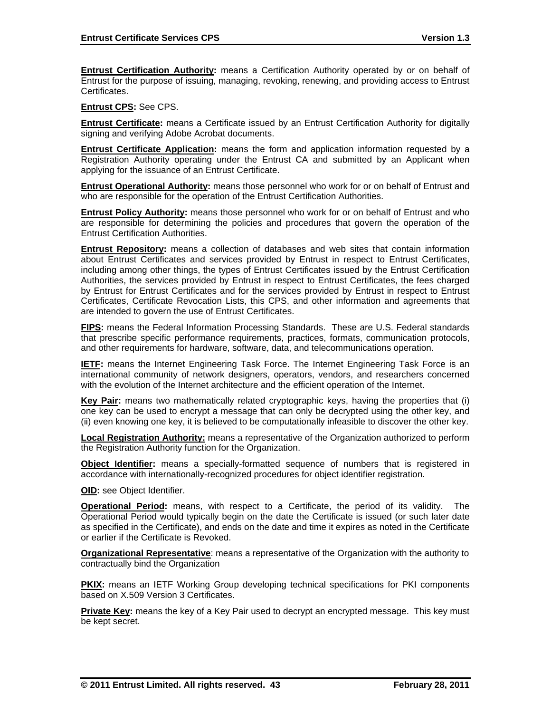**Entrust Certification Authority:** means a Certification Authority operated by or on behalf of Entrust for the purpose of issuing, managing, revoking, renewing, and providing access to Entrust Certificates.

**Entrust CPS:** See CPS.

**Entrust Certificate:** means a Certificate issued by an Entrust Certification Authority for digitally signing and verifying Adobe Acrobat documents.

**Entrust Certificate Application:** means the form and application information requested by a Registration Authority operating under the Entrust CA and submitted by an Applicant when applying for the issuance of an Entrust Certificate.

**Entrust Operational Authority:** means those personnel who work for or on behalf of Entrust and who are responsible for the operation of the Entrust Certification Authorities.

**Entrust Policy Authority:** means those personnel who work for or on behalf of Entrust and who are responsible for determining the policies and procedures that govern the operation of the Entrust Certification Authorities.

**Entrust Repository:** means a collection of databases and web sites that contain information about Entrust Certificates and services provided by Entrust in respect to Entrust Certificates, including among other things, the types of Entrust Certificates issued by the Entrust Certification Authorities, the services provided by Entrust in respect to Entrust Certificates, the fees charged by Entrust for Entrust Certificates and for the services provided by Entrust in respect to Entrust Certificates, Certificate Revocation Lists, this CPS, and other information and agreements that are intended to govern the use of Entrust Certificates.

**FIPS:** means the Federal Information Processing Standards. These are U.S. Federal standards that prescribe specific performance requirements, practices, formats, communication protocols, and other requirements for hardware, software, data, and telecommunications operation.

**IETF:** means the Internet Engineering Task Force. The Internet Engineering Task Force is an international community of network designers, operators, vendors, and researchers concerned with the evolution of the Internet architecture and the efficient operation of the Internet.

**Key Pair:** means two mathematically related cryptographic keys, having the properties that (i) one key can be used to encrypt a message that can only be decrypted using the other key, and (ii) even knowing one key, it is believed to be computationally infeasible to discover the other key.

**Local Registration Authority:** means a representative of the Organization authorized to perform the Registration Authority function for the Organization.

**Object Identifier:** means a specially-formatted sequence of numbers that is registered in accordance with internationally-recognized procedures for object identifier registration.

**OID:** see Object Identifier.

**Operational Period:** means, with respect to a Certificate, the period of its validity. The Operational Period would typically begin on the date the Certificate is issued (or such later date as specified in the Certificate), and ends on the date and time it expires as noted in the Certificate or earlier if the Certificate is Revoked.

**Organizational Representative**: means a representative of the Organization with the authority to contractually bind the Organization

**PKIX:** means an IETF Working Group developing technical specifications for PKI components based on X.509 Version 3 Certificates.

**Private Key:** means the key of a Key Pair used to decrypt an encrypted message. This key must be kept secret.